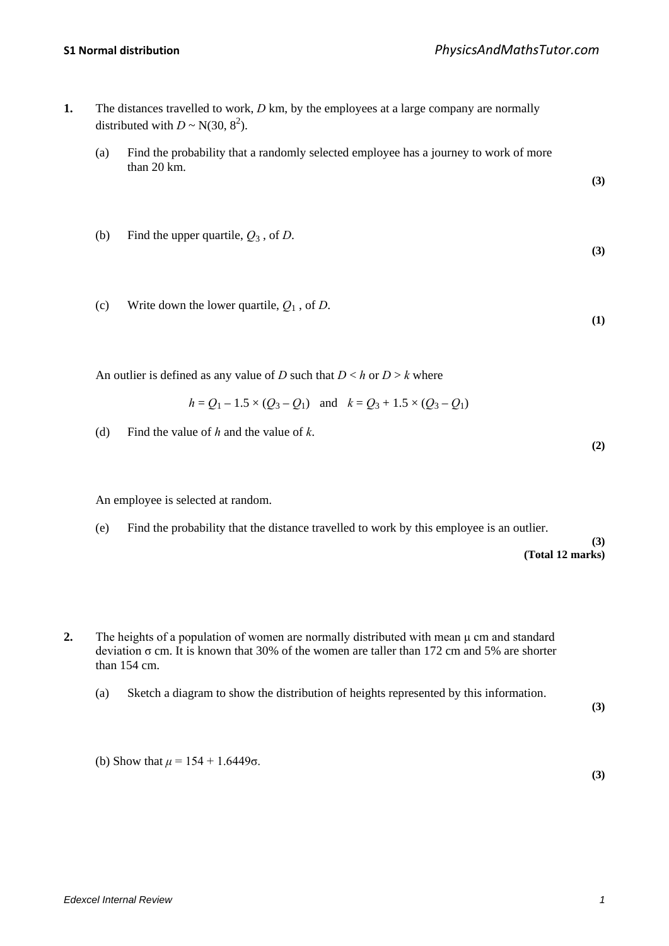- **1.** The distances travelled to work, *D* km, by the employees at a large company are normally distributed with  $D \sim N(30, 8^2)$ .
	- (a) Find the probability that a randomly selected employee has a journey to work of more than 20 km.

**(3)**

**(3)**

**(1)**

**(2)**

- (b) Find the upper quartile,  $Q_3$ , of *D*.
- (c) Write down the lower quartile,  $Q_1$ , of *D*.

An outlier is defined as any value of *D* such that  $D < h$  or  $D > k$  where

$$
h = Q_1 - 1.5 \times (Q_3 - Q_1)
$$
 and  $k = Q_3 + 1.5 \times (Q_3 - Q_1)$ 

(d) Find the value of *h* and the value of *k*.

An employee is selected at random.

(e) Find the probability that the distance travelled to work by this employee is an outlier.

**(3) (Total 12 marks)**

- **2.** The heights of a population of women are normally distributed with mean μ cm and standard deviation σ cm. It is known that 30% of the women are taller than 172 cm and 5% are shorter than 154 cm.
	- (a) Sketch a diagram to show the distribution of heights represented by this information.

**(3)**

**(3)**

(b) Show that  $\mu = 154 + 1.6449$ σ.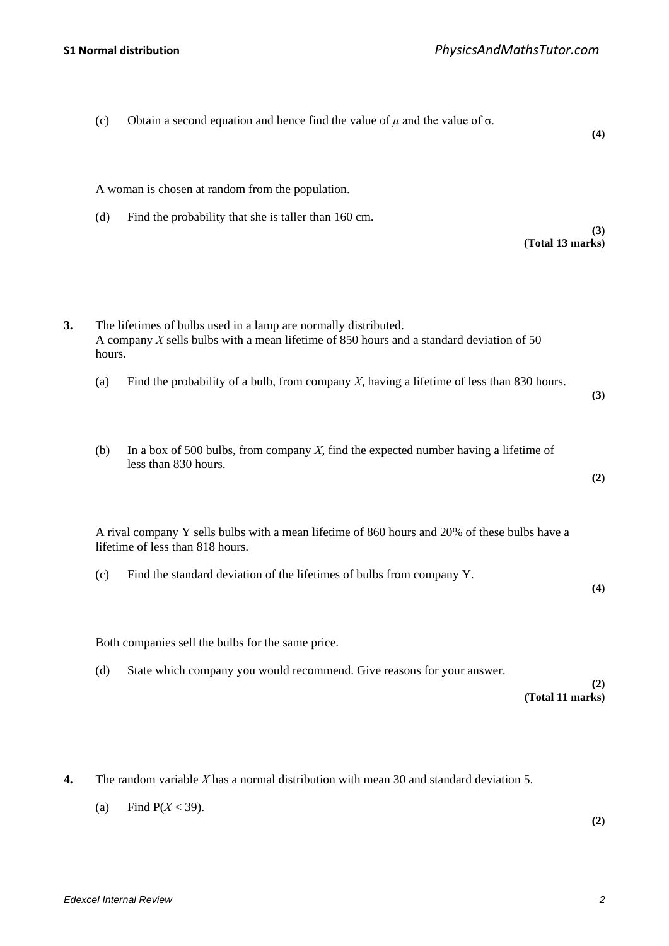| Obtain a second equation and hence find the value of $\mu$ and the value of $\sigma$ .<br>(4)                                                                 | (c)          |
|---------------------------------------------------------------------------------------------------------------------------------------------------------------|--------------|
| A woman is chosen at random from the population.                                                                                                              |              |
| Find the probability that she is taller than 160 cm.<br>(3)<br>(Total 13 marks)                                                                               | (d)          |
| The lifetimes of bulbs used in a lamp are normally distributed.<br>A company $X$ sells bulbs with a mean lifetime of 850 hours and a standard deviation of 50 | 3.<br>hours. |
| Find the probability of a bulb, from company $X$ , having a lifetime of less than 830 hours.<br>(3)                                                           | (a)          |
| In a box of 500 bulbs, from company $X$ , find the expected number having a lifetime of<br>less than 830 hours.<br>(2)                                        | (b)          |
| A rival company Y sells bulbs with a mean lifetime of 860 hours and 20% of these bulbs have a<br>lifetime of less than 818 hours.                             |              |
| Find the standard deviation of the lifetimes of bulbs from company Y.<br>(4)                                                                                  | (c)          |
| Both companies sell the bulbs for the same price.                                                                                                             |              |
| State which company you would recommend. Give reasons for your answer.<br>(2)<br>(Total 11 marks)                                                             | (d)          |

- **4.** The random variable *X* has a normal distribution with mean 30 and standard deviation 5.
	- (a) Find  $P(X < 39)$ .

**(2)**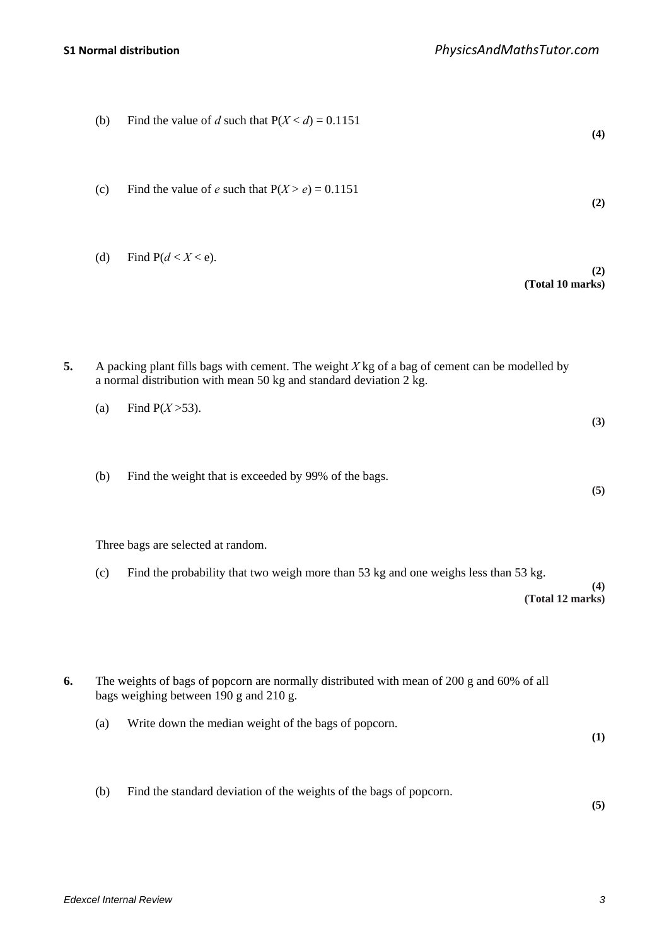|    | (b) | Find the value of d such that $P(X < d) = 0.1151$                                                                                                                     | (4) |
|----|-----|-----------------------------------------------------------------------------------------------------------------------------------------------------------------------|-----|
|    | (c) | Find the value of e such that $P(X > e) = 0.1151$                                                                                                                     | (2) |
|    | (d) | Find $P(d < X < e)$ .<br>(Total 10 marks)                                                                                                                             | (2) |
| 5. |     | A packing plant fills bags with cement. The weight $X$ kg of a bag of cement can be modelled by<br>a normal distribution with mean 50 kg and standard deviation 2 kg. |     |
|    | (a) | Find $P(X > 53)$ .                                                                                                                                                    | (3) |
|    | (b) | Find the weight that is exceeded by 99% of the bags.                                                                                                                  | (5) |
|    |     | Three bags are selected at random.                                                                                                                                    |     |
|    | (c) | Find the probability that two weigh more than 53 kg and one weighs less than 53 kg.<br>(Total 12 marks)                                                               | (4) |
| 6. |     | The weights of bags of popcorn are normally distributed with mean of 200 g and 60% of all<br>bags weighing between 190 g and 210 g.                                   |     |
|    | (a) | Write down the median weight of the bags of popcorn.                                                                                                                  | (1) |
|    | (b) | Find the standard deviation of the weights of the bags of popcorn.                                                                                                    | (5) |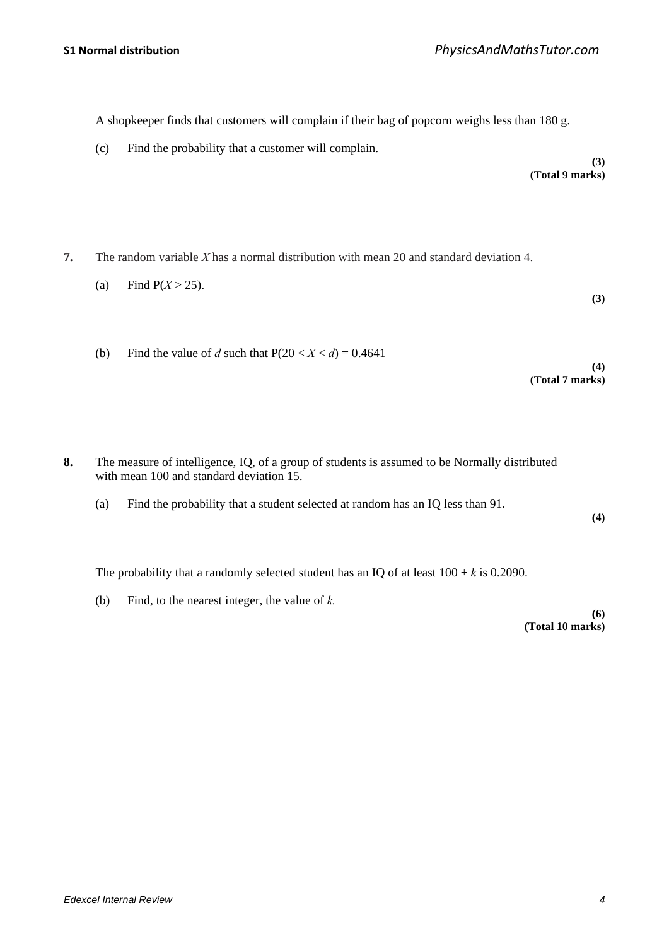A shopkeeper finds that customers will complain if their bag of popcorn weighs less than 180 g.

(c) Find the probability that a customer will complain.

**(3) (Total 9 marks)**

**(3)**

**(4)**

**(4)**

**(Total 7 marks)**

- **7.** The random variable *X* has a normal distribution with mean 20 and standard deviation 4.
	- (a) Find  $P(X > 25)$ .
	- (b) Find the value of *d* such that  $P(20 < X < d) = 0.4641$

- **8.** The measure of intelligence, IQ, of a group of students is assumed to be Normally distributed with mean 100 and standard deviation 15.
	- (a) Find the probability that a student selected at random has an IQ less than 91.

The probability that a randomly selected student has an IQ of at least  $100 + k$  is 0.2090.

(b) Find, to the nearest integer, the value of *k.*

**(6) (Total 10 marks)**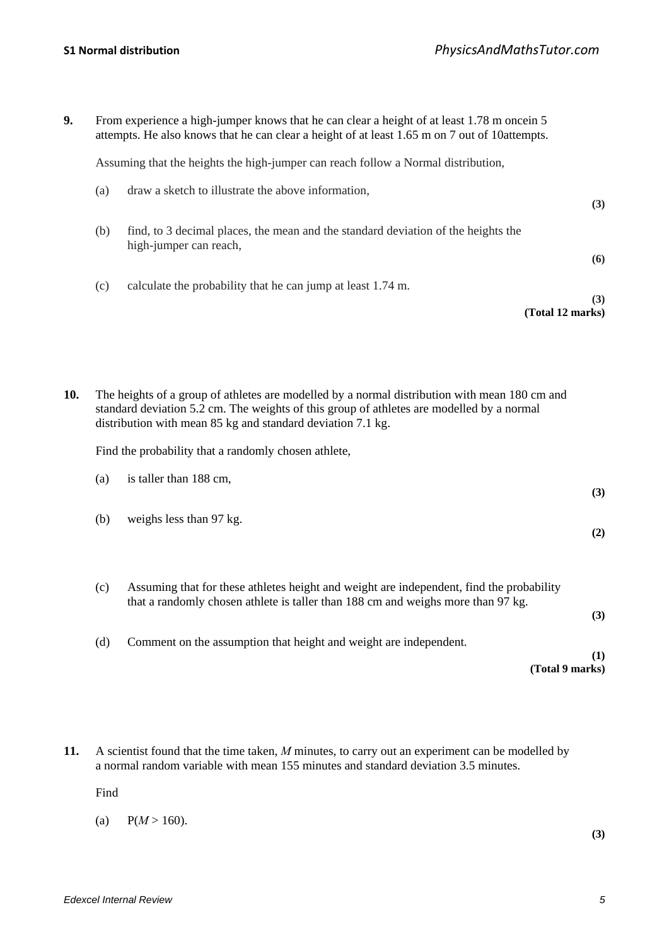| 9.  |                                                      | From experience a high-jumper knows that he can clear a height of at least 1.78 m once n 5<br>attempts. He also knows that he can clear a height of at least 1.65 m on 7 out of 10 attempts.                                                              |     |  |  |
|-----|------------------------------------------------------|-----------------------------------------------------------------------------------------------------------------------------------------------------------------------------------------------------------------------------------------------------------|-----|--|--|
|     |                                                      | Assuming that the heights the high-jumper can reach follow a Normal distribution,                                                                                                                                                                         |     |  |  |
|     | (a)                                                  | draw a sketch to illustrate the above information,                                                                                                                                                                                                        | (3) |  |  |
|     | (b)                                                  | find, to 3 decimal places, the mean and the standard deviation of the heights the<br>high-jumper can reach,                                                                                                                                               | (6) |  |  |
|     | (c)                                                  | calculate the probability that he can jump at least 1.74 m.<br>(Total 12 marks)                                                                                                                                                                           | (3) |  |  |
| 10. |                                                      | The heights of a group of athletes are modelled by a normal distribution with mean 180 cm and<br>standard deviation 5.2 cm. The weights of this group of athletes are modelled by a normal<br>distribution with mean 85 kg and standard deviation 7.1 kg. |     |  |  |
|     | Find the probability that a randomly chosen athlete, |                                                                                                                                                                                                                                                           |     |  |  |
|     | (a)                                                  | is taller than 188 cm,                                                                                                                                                                                                                                    | (3) |  |  |
|     | (b)                                                  | weighs less than 97 kg.                                                                                                                                                                                                                                   | (2) |  |  |
|     | (c)                                                  | Assuming that for these athletes height and weight are independent, find the probability<br>that a randomly chosen athlete is taller than 188 cm and weighs more than 97 kg.                                                                              | (3) |  |  |
|     | (d)                                                  | Comment on the assumption that height and weight are independent.                                                                                                                                                                                         |     |  |  |
|     |                                                      | (Total 9 marks)                                                                                                                                                                                                                                           | (1) |  |  |

**11.** A scientist found that the time taken, *M* minutes, to carry out an experiment can be modelled by a normal random variable with mean 155 minutes and standard deviation 3.5 minutes.

Find

(a)  $P(M > 160)$ .

**(3)**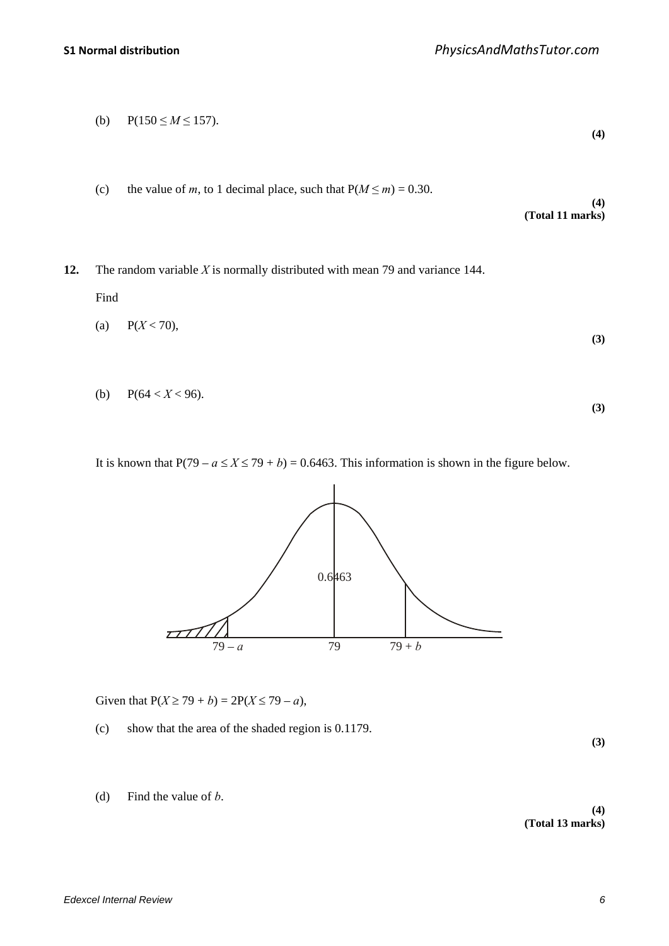(b) 
$$
P(150 \le M \le 157)
$$
. (4)

(c) the value of *m*, to 1 decimal place, such that  $P(M \le m) = 0.30$ .

**(4) (Total 11 marks)**

**12.** The random variable *X* is normally distributed with mean 79 and variance 144.

Find

$$
(a) \quad P(X < 70), \tag{3}
$$

(b)  $P(64 < X < 96)$ . **(3)**

It is known that  $P(79 - a \le X \le 79 + b) = 0.6463$ . This information is shown in the figure below.



Given that  $P(X \ge 79 + b) = 2P(X \le 79 - a)$ ,

(c) show that the area of the shaded region is 0.1179.

**(3)**

(d) Find the value of *b*.

**(4) (Total 13 marks)**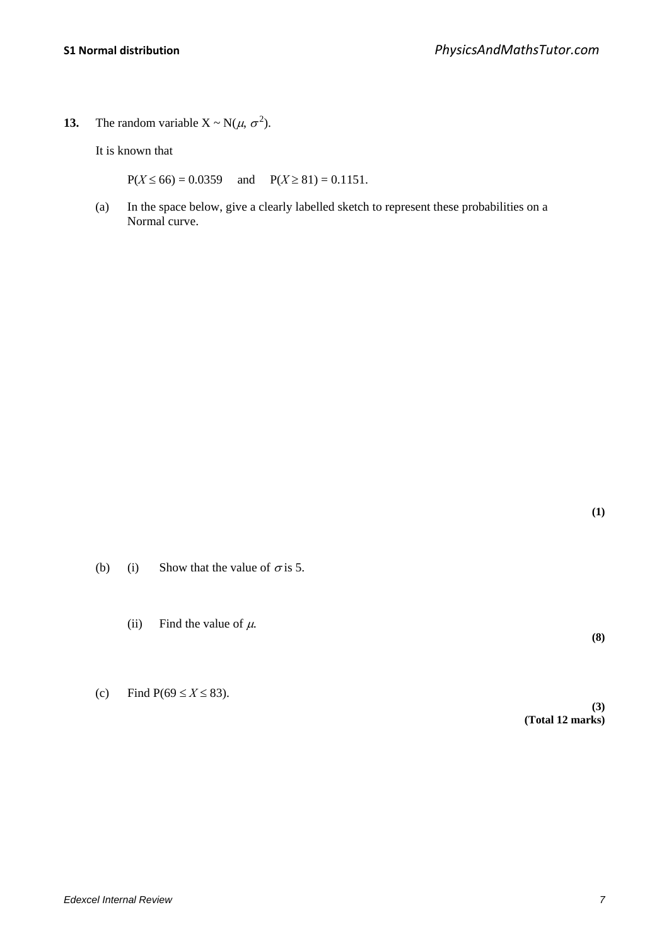**13.** The random variable  $X \sim N(\mu, \sigma^2)$ .

It is known that

 $P(X \le 66) = 0.0359$  and  $P(X \ge 81) = 0.1151$ .

(a) In the space below, give a clearly labelled sketch to represent these probabilities on a Normal curve.

**(1)**

**(8)**

- (b) (i) Show that the value of  $\sigma$  is 5.
	- (ii) Find the value of  $\mu$ .

(c) Find  $P(69 \le X \le 83)$ .

**(3) (Total 12 marks)**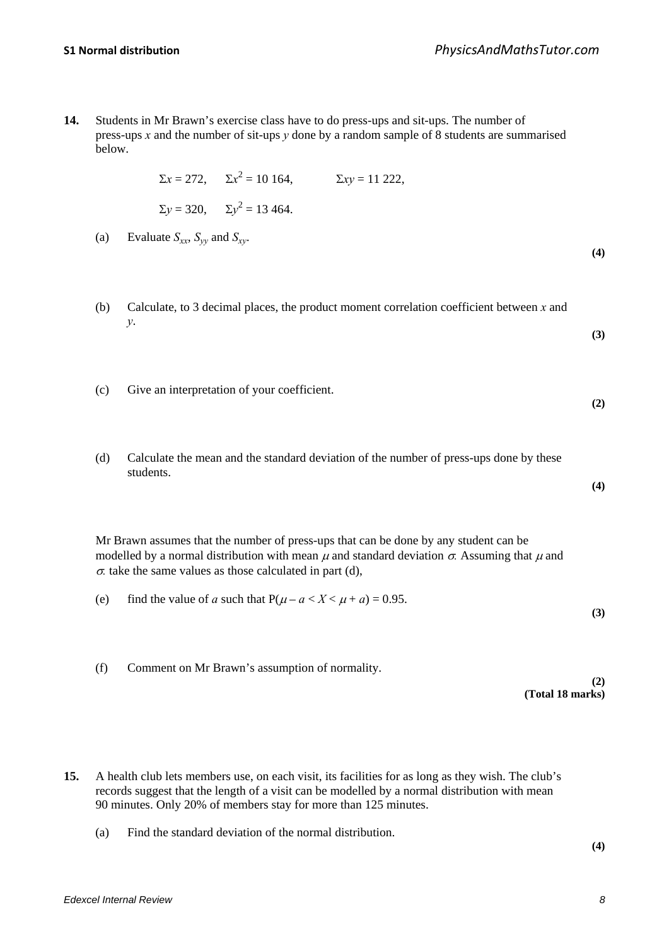**14.** Students in Mr Brawn's exercise class have to do press-ups and sit-ups. The number of press-ups *x* and the number of sit-ups *y* done by a random sample of 8 students are summarised below.

$$
\Sigma x = 272
$$
,  $\Sigma x^2 = 10 \text{ 164}$ ,  $\Sigma xy = 11 \text{ 222}$ ,  
 $\Sigma y = 320$ ,  $\Sigma y^2 = 13 \text{ 464}$ .

(a) Evaluate  $S_{xx}$ ,  $S_{yy}$  and  $S_{xy}$ .

**(4)**

**(3)**

**(2)**

**(4)**

**(3)**

- (b) Calculate, to 3 decimal places, the product moment correlation coefficient between *x* and *y*.
- (c) Give an interpretation of your coefficient.
- (d) Calculate the mean and the standard deviation of the number of press-ups done by these students.

Mr Brawn assumes that the number of press-ups that can be done by any student can be modelled by a normal distribution with mean  $\mu$  and standard deviation  $\sigma$ . Assuming that  $\mu$  and  $\sigma$  take the same values as those calculated in part (d),

- (e) find the value of *a* such that  $P(\mu a < X < \mu + a) = 0.95$ .
- (f) Comment on Mr Brawn's assumption of normality.

**(2) (Total 18 marks)**

- **15.** A health club lets members use, on each visit, its facilities for as long as they wish. The club's records suggest that the length of a visit can be modelled by a normal distribution with mean 90 minutes. Only 20% of members stay for more than 125 minutes.
	- (a) Find the standard deviation of the normal distribution.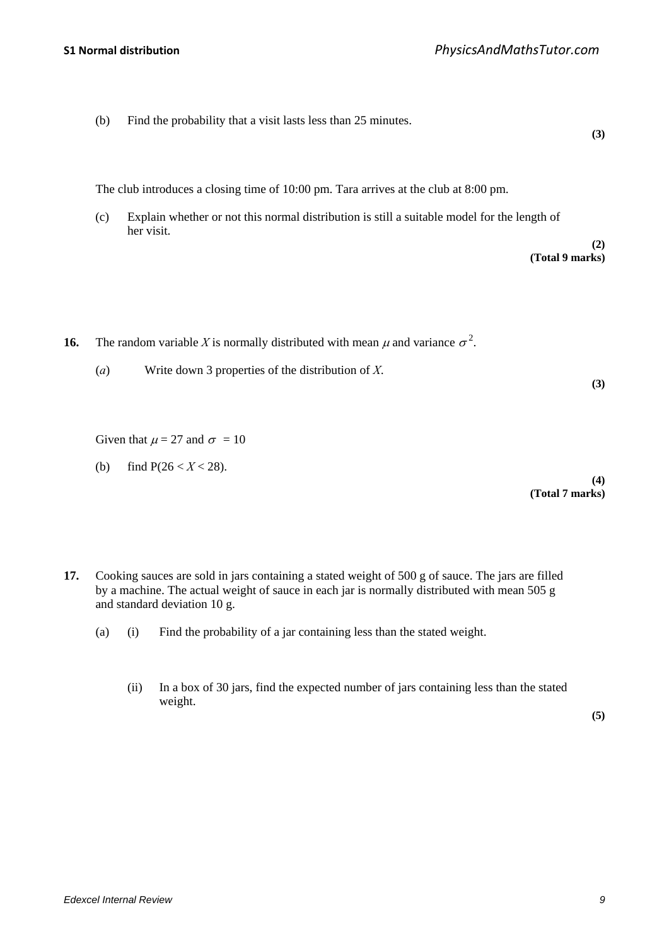(b) Find the probability that a visit lasts less than 25 minutes.

The club introduces a closing time of 10:00 pm. Tara arrives at the club at 8:00 pm.

(c) Explain whether or not this normal distribution is still a suitable model for the length of her visit.

> **(2) (Total 9 marks)**

**(3)**

**(3)**

- **16.** The random variable *X* is normally distributed with mean  $\mu$  and variance  $\sigma^2$ .
	- (*a*) Write down 3 properties of the distribution of *X*.

Given that  $\mu = 27$  and  $\sigma = 10$ 

(b) find  $P(26 < X < 28)$ .

**(4) (Total 7 marks)**

- **17.** Cooking sauces are sold in jars containing a stated weight of 500 g of sauce. The jars are filled by a machine. The actual weight of sauce in each jar is normally distributed with mean 505 g and standard deviation 10 g.
	- (a) (i) Find the probability of a jar containing less than the stated weight.
		- (ii) In a box of 30 jars, find the expected number of jars containing less than the stated weight.

**(5)**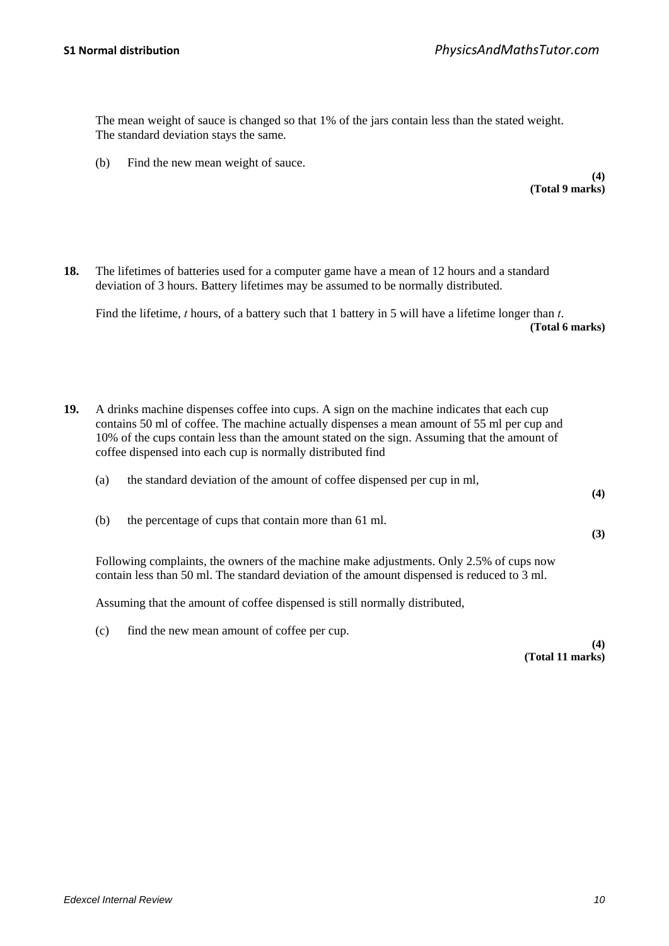The mean weight of sauce is changed so that 1% of the jars contain less than the stated weight. The standard deviation stays the same.

(b) Find the new mean weight of sauce.

#### **(4) (Total 9 marks)**

**18.** The lifetimes of batteries used for a computer game have a mean of 12 hours and a standard deviation of 3 hours. Battery lifetimes may be assumed to be normally distributed.

Find the lifetime, *t* hours, of a battery such that 1 battery in 5 will have a lifetime longer than *t*. **(Total 6 marks)**

- **19.** A drinks machine dispenses coffee into cups. A sign on the machine indicates that each cup contains 50 ml of coffee. The machine actually dispenses a mean amount of 55 ml per cup and 10% of the cups contain less than the amount stated on the sign. Assuming that the amount of coffee dispensed into each cup is normally distributed find
	- (a) the standard deviation of the amount of coffee dispensed per cup in ml,

(b) the percentage of cups that contain more than 61 ml.

Following complaints, the owners of the machine make adjustments. Only 2.5% of cups now contain less than 50 ml. The standard deviation of the amount dispensed is reduced to 3 ml.

Assuming that the amount of coffee dispensed is still normally distributed,

(c) find the new mean amount of coffee per cup.

**(4) (Total 11 marks)**

**(4)**

**(3)**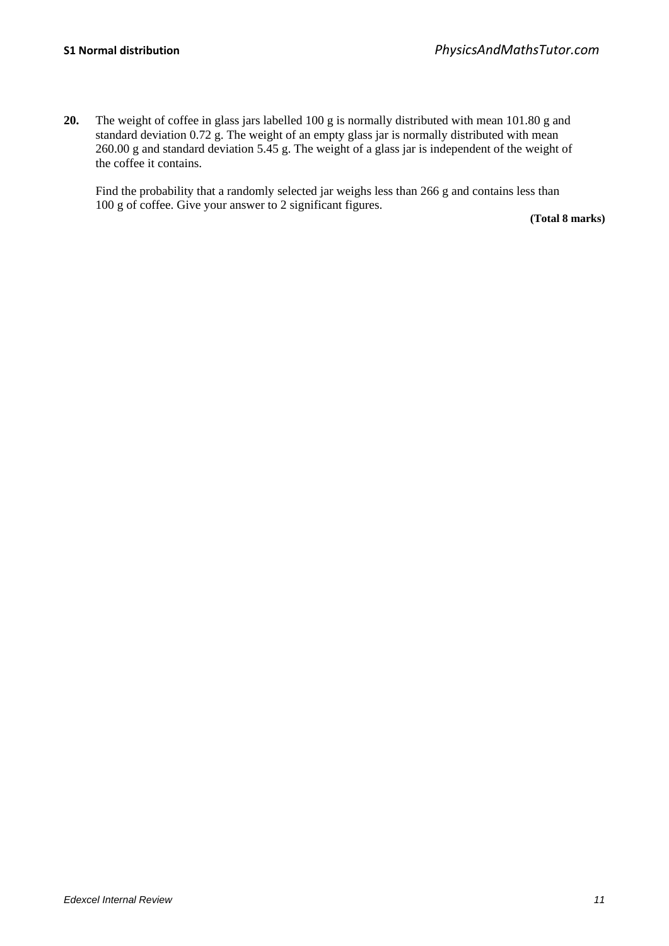**20.** The weight of coffee in glass jars labelled 100 g is normally distributed with mean 101.80 g and standard deviation 0.72 g. The weight of an empty glass jar is normally distributed with mean 260.00 g and standard deviation 5.45 g. The weight of a glass jar is independent of the weight of the coffee it contains.

Find the probability that a randomly selected jar weighs less than 266 g and contains less than 100 g of coffee. Give your answer to 2 significant figures.

**(Total 8 marks)**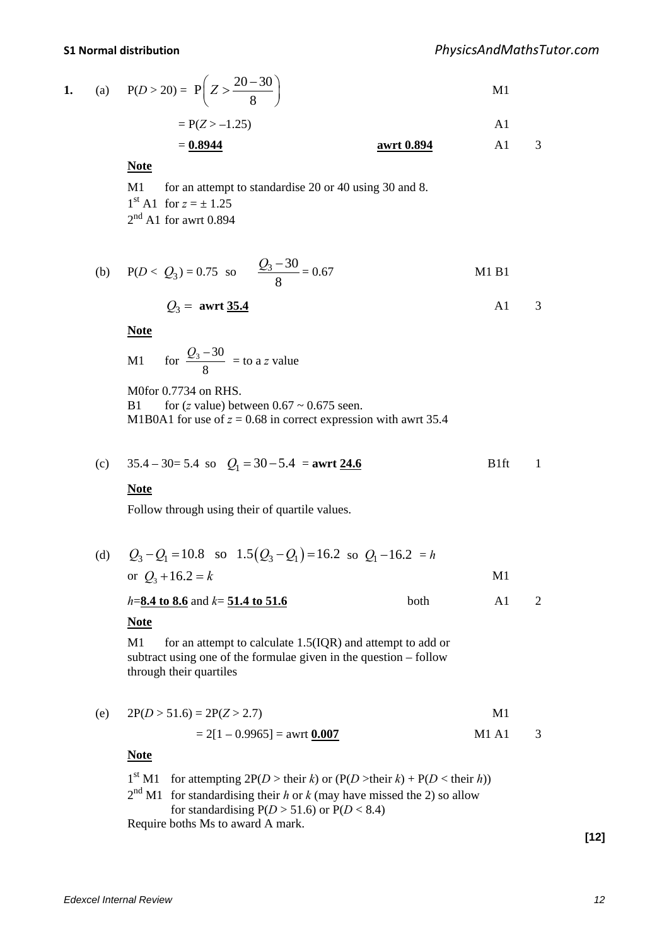1. (a) 
$$
P(D > 20) = P\left(Z > \frac{20 - 30}{8}\right)
$$
 M1

$$
= P(Z > -1.25) \tag{A1}
$$

$$
= 0.8944
$$
 **awrt 0.894 Al** 3

**Note**

M1 for an attempt to standardise 20 or 40 using 30 and 8.  $1<sup>st</sup>$  A1 for  $z = \pm 1.25$  $2<sup>nd</sup>$  A1 for awrt 0.894

(b) 
$$
P(D < Q_3) = 0.75
$$
 so  $\frac{Q_3 - 30}{8} = 0.67$  M1 B1

$$
Q_3 = \text{awrt } \underline{35.4} \qquad \qquad \text{A1} \qquad 3
$$

**Note**

M1 for 8  $\frac{Q_3 - 30}{2}$  = to a *z* value

M0for 0.7734 on RHS. B1 for  $(z \text{ value})$  between  $0.67 \sim 0.675$  seen. M1B0A1 for use of  $z = 0.68$  in correct expression with awrt 35.4

(c) 
$$
35.4 - 30 = 5.4
$$
 so  $Q_1 = 30 - 5.4 =$ awrt 24.6 B1ft 1

### **Note**

Follow through using their of quartile values.

| (d) $Q_3 - Q_1 = 10.8$ so $1.5(Q_3 - Q_1) = 16.2$ so $Q_1 - 16.2 = h$ |      |    |  |
|-----------------------------------------------------------------------|------|----|--|
| or $Q_3 + 16.2 = k$                                                   |      | M1 |  |
| $h=8.4$ to 8.6 and $k=51.4$ to 51.6                                   | both | Αl |  |

#### **Note**

M1 for an attempt to calculate 1.5(IQR) and attempt to add or subtract using one of the formulae given in the question – follow through their quartiles

(e) 
$$
2P(D > 51.6) = 2P(Z > 2.7)
$$
 M1  
= 2[1 – 0.9965] = awrt 0.007 M1 A1 3

### **Note**

1<sup>st</sup> M1 for attempting  $2P(D > \text{their } k)$  or  $(P(D > \text{their } k) + P(D < \text{their } h))$  $2<sup>nd</sup> M1$  for standardising their *h* or *k* (may have missed the 2) so allow for standardising  $P(D > 51.6)$  or  $P(D < 8.4)$ Require boths Ms to award A mark.

**[12]**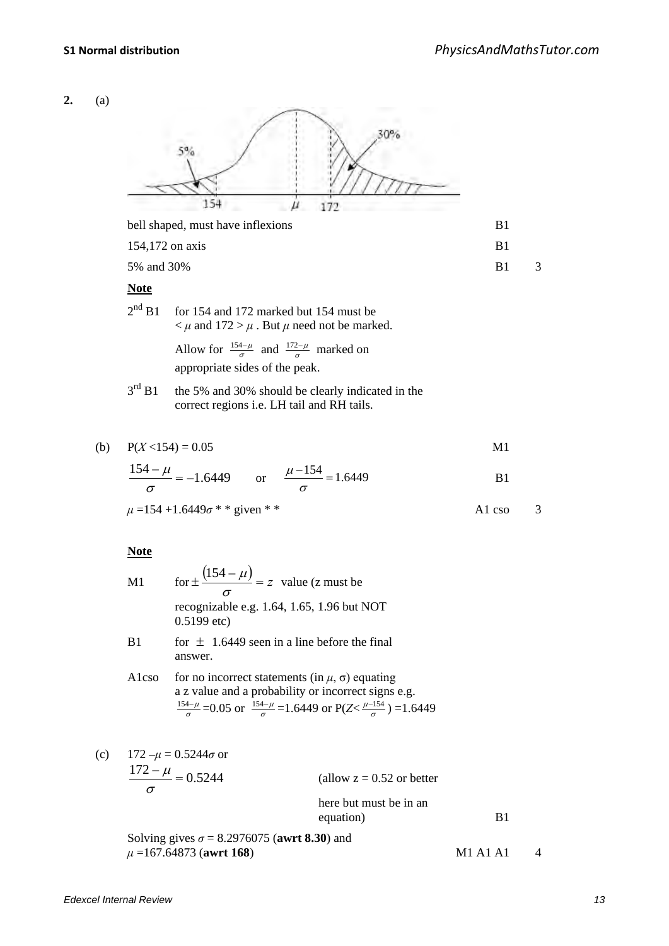# **2.** (a) 30%  $5%$ 154  $\mu$ 172 bell shaped, must have inflexions B1  $154.172$  on axis B1 5% and 30% B1 3 **Note**  $2<sup>nd</sup>$  B1 for 154 and 172 marked but 154 must be  $\lt \mu$  and  $172 > \mu$ . But  $\mu$  need not be marked. Allow for  $\frac{154-\mu}{\sigma}$  and  $\frac{172-\mu}{\sigma}$  marked on appropriate sides of the peak.  $3<sup>rd</sup> B1$  the 5% and 30% should be clearly indicated in the correct regions i.e. LH tail and RH tails. (b)  $P(X < 154) = 0.05$  M1  $\frac{154-\mu}{\sigma} = -1.6449$  or  $\frac{\mu-154}{\sigma} = 1.6449$  B1  $\mu = 154 + 1.6449\sigma$  \* \* given \* \* A1 cso 3 **Note** M1 for  $\pm \frac{(154 - \mu)}{\sigma} = z$  value (z must be recognizable e.g. 1.64, 1.65, 1.96 but NOT 0.5199 etc) B1 for  $\pm$  1.6449 seen in a line before the final answer. A1cso for no incorrect statements (in  $\mu$ ,  $\sigma$ ) equating a z value and a probability or incorrect signs e.g.  $\frac{154-\mu}{\sigma}$  =0.05 or  $\frac{154-\mu}{\sigma}$  =1.6449 or P(Z  $\lt \frac{\mu-154}{\sigma}$ ) =1.6449 (c) 172 –*μ* = 0.5244*σ* or  $\frac{172 - \mu}{\sigma} = 0.5244$ (allow  $z = 0.52$  or better here but must be in an equation) B1

Solving gives  $\sigma = 8.2976075$  (awrt 8.30) and *μ* =167.64873 (**awrt 168**) M1 A1 A1 4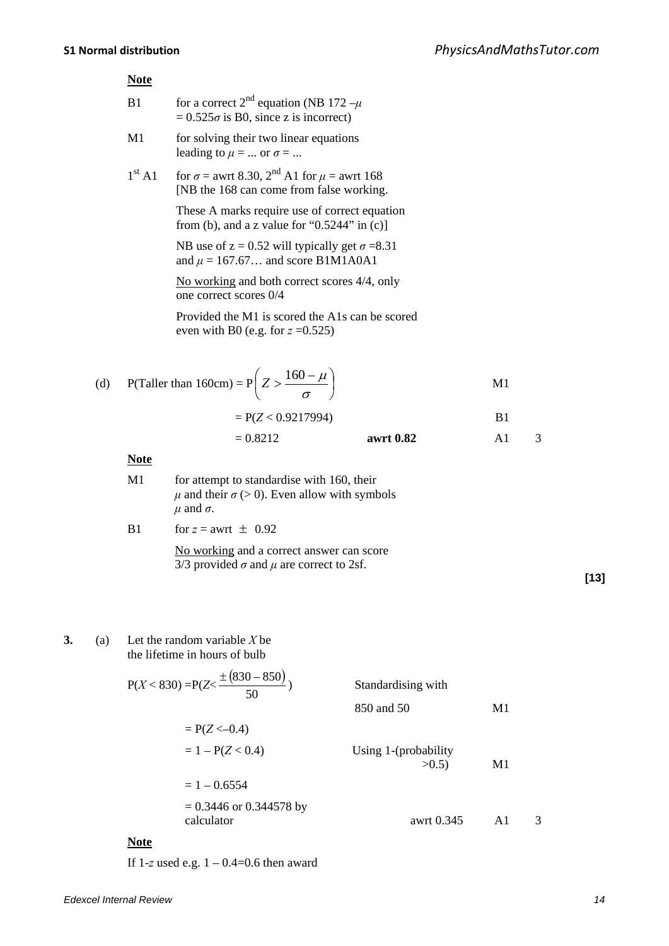# **Note**

| B1 | for a correct 2 <sup>nd</sup> equation (NB 172 - $\mu$ ) |
|----|----------------------------------------------------------|
|    | $= 0.525\sigma$ is B0, since z is incorrect)             |

- M1 for solving their two linear equations leading to  $\mu = \dots$  or  $\sigma = \dots$
- $1^{\text{st}}$  A1 for  $\sigma$  = awrt 8.30,  $2^{\text{nd}}$  A1 for  $\mu$  = awrt 168 [NB the 168 can come from false working.

 These A marks require use of correct equation from (b), and a z value for " $0.5244$ " in (c)]

NB use of  $z = 0.52$  will typically get  $\sigma = 8.31$ and  $\mu = 167.67...$  and score B1M1A0A1

 No working and both correct scores 4/4, only one correct scores 0/4

 Provided the M1 is scored the A1s can be scored even with B0 (e.g. for  $z = 0.525$ )

(d) P(Taller than 160cm) = 
$$
P\left(Z > \frac{160 - \mu}{\sigma}\right)
$$
 M1

$$
= P(Z < 0.9217994)
$$
 B1  
= 0.8212 **awrt 0.82** A1 3

#### **Note**

| M1 | for attempt to standardise with 160, their<br>$\mu$ and their $\sigma$ (> 0). Even allow with symbols<br>$\mu$ and $\sigma$ . |
|----|-------------------------------------------------------------------------------------------------------------------------------|
| B1 | for $z =$ awrt $\pm 0.92$                                                                                                     |
|    | No working and a correct answer can score<br>3/3 provided $\sigma$ and $\mu$ are correct to 2sf.                              |

**[13]**

**3.** (a) Let the random variable *X* be the lifetime in hours of bulb

$$
P(X < 830) = P(Z < \frac{\pm (830 - 850)}{50})
$$
\nStandardising with  
\n
$$
850 \text{ and } 50
$$
\n
$$
= 1 - P(Z < 0.4)
$$
\n
$$
= 1 - 0.6554
$$
\n
$$
= 0.3446 \text{ or } 0.344578 \text{ by}
$$
\n
$$
= 0.3446 \text{ or } 0.344578 \text{ by}
$$
\n
$$
P(X < 830) = P(Z < -0.4)
$$
\n
$$
= 1 - P(Z < 0.4)
$$
\n
$$
= 1 - 0.6554
$$
\n
$$
= 0.3446 \text{ or } 0.344578 \text{ by}
$$
\n
$$
= 0.3446 \text{ or } 0.345
$$
\n
$$
= 0.3446 \text{ or } 0.345
$$
\n
$$
= 0.3446 \text{ or } 0.345
$$
\n
$$
= 0.3446 \text{ or } 0.345
$$
\n
$$
= 0.3446 \text{ or } 0.345
$$
\n
$$
= 0.3446 \text{ or } 0.345
$$
\n
$$
= 0.3446 \text{ or } 0.345
$$
\n
$$
= 0.3446 \text{ or } 0.345
$$
\n
$$
= 0.3446 \text{ or } 0.345
$$

If  $1-z$  used e.g.  $1 - 0.4 = 0.6$  then award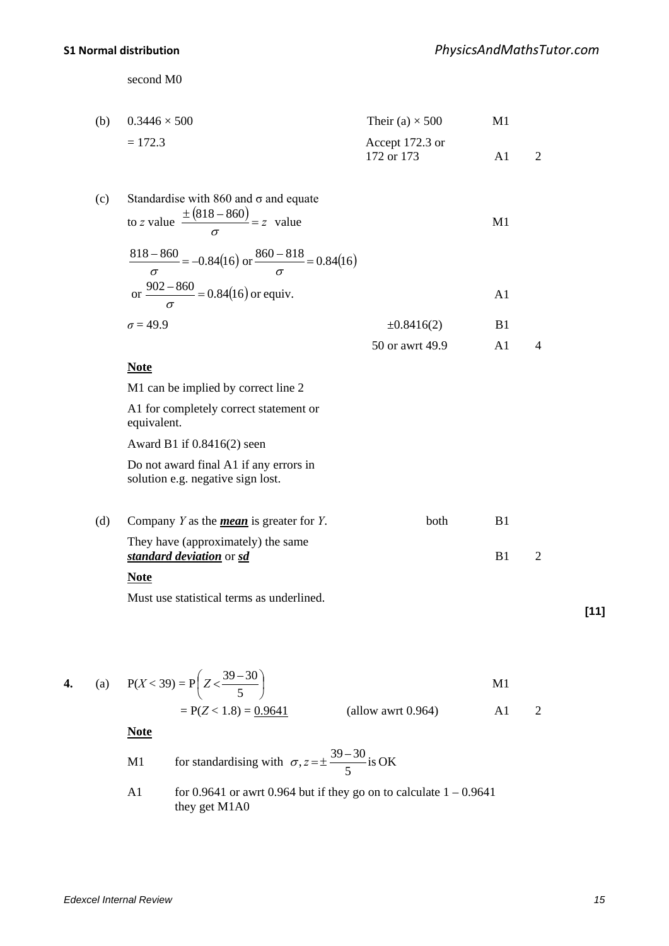second M0

| (b) $0.3446 \times 500$ | Their (a) $\times$ 500 | M1 |  |
|-------------------------|------------------------|----|--|
| $= 172.3$               | Accept 172.3 or        |    |  |
|                         | 172 or 173             |    |  |

| (c) | Standardise with 860 and $\sigma$ and equate<br>to z value $\frac{\pm (818 - 860)}{2} = z$ value                                  |                 | M1             |                |
|-----|-----------------------------------------------------------------------------------------------------------------------------------|-----------------|----------------|----------------|
|     | $\frac{818-860}{\sigma} = -0.84(16) \text{ or } \frac{860-818}{\sigma} = 0.84(16)$<br>or $\frac{902-860}{2}$ = 0.84(16) or equiv. |                 | A <sub>1</sub> |                |
|     | $\sigma = 49.9$                                                                                                                   | $\pm 0.8416(2)$ | B1             |                |
|     |                                                                                                                                   | 50 or awrt 49.9 | A <sub>1</sub> | $\overline{4}$ |
|     | <b>Note</b>                                                                                                                       |                 |                |                |
|     | M1 can be implied by correct line 2                                                                                               |                 |                |                |
|     | A1 for completely correct statement or<br>equivalent.                                                                             |                 |                |                |
|     | Award B1 if $0.8416(2)$ seen                                                                                                      |                 |                |                |
|     | Do not award final A1 if any errors in<br>solution e.g. negative sign lost.                                                       |                 |                |                |
| (d) | Company $Y$ as the <i>mean</i> is greater for $Y$ .                                                                               | both            | B1             |                |
|     | $\mathbf{m}$ i $\ell$ is a set of $\mathbf{m}$                                                                                    |                 |                |                |

They have (approximately) the same **standard deviation** or **sd** B1 2

# **Note**

Must use statistical terms as underlined.

4. (a) 
$$
P(X < 39) = P\left(Z < \frac{39 - 30}{5}\right)
$$
  
=  $P(Z < 1.8) = \frac{0.9641}{}$  (allow a wrt 0.964) A1 2

**Note**

M1 for standardising with 
$$
\sigma
$$
,  $z = \pm \frac{39 - 30}{5}$  is OK  
\nA1 for 0.9641 or awrt 0.964 but if they go on to calculate 1 – 0.9641  
\nthey get M1A0

**[11]**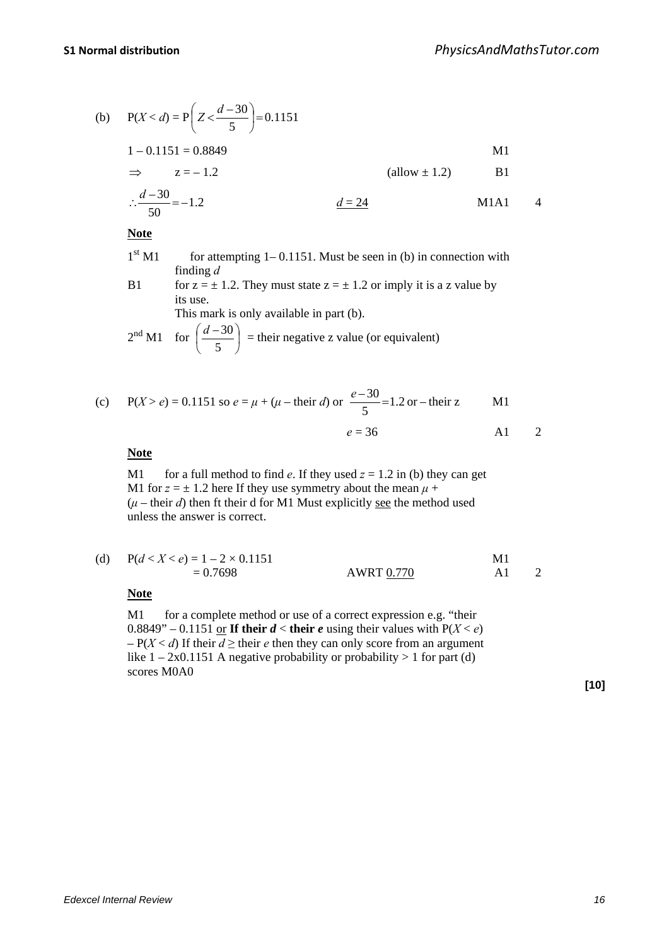(b) 
$$
P(X < d) = P\left(Z < \frac{d - 30}{5}\right) = 0.1151
$$
  
\n $1 - 0.1151 = 0.8849$   
\n $\Rightarrow z = -1.2$  (allow  $\pm 1.2$ )  
\n $\therefore \frac{d - 30}{50} = -1.2$   
\n $\frac{d = 24}{4}$   $\frac{d = 24}{4}$ 

# **Note**

- $1<sup>st</sup> M1$  for attempting 1– 0.1151. Must be seen in (b) in connection with finding *d*
- B1 for  $z = \pm 1.2$ . They must state  $z = \pm 1.2$  or imply it is a z value by its use. This mark is only available in part (b).

$$
2nd M1
$$
 for  $\left(\frac{d-30}{5}\right)$  = their negative z value (or equivalent)

(c) 
$$
P(X > e) = 0.1151
$$
 so  $e = \mu + (\mu - \text{their } d)$  or  $\frac{e - 30}{5} = 1.2$  or  $-\text{their } z$  M1  
 $e = 36$  A1 2

### **Note**

M1 for a full method to find *e*. If they used  $z = 1.2$  in (b) they can get M1 for  $z = \pm 1.2$  here If they use symmetry about the mean  $\mu$  +  $(\mu - \text{their } d)$  then ft their d for M1 Must explicitly see the method used unless the answer is correct.

| (d) | $P(d < X < e) = 1 - 2 \times 0.1151$ |            |  |  |  |
|-----|--------------------------------------|------------|--|--|--|
|     | $= 0.7698$                           | AWRT 0.770 |  |  |  |

# **Note**

M1 for a complete method or use of a correct expression e.g. "their 0.8849" – 0.1151 <u>or</u> **If their** *d* **< their** *e* using their values with  $P(X < e)$  $-P(X < d)$  If their  $d \ge$  their *e* then they can only score from an argument like  $1 - 2x0.1151$  A negative probability or probability  $> 1$  for part (d) scores M0A0

**[10]**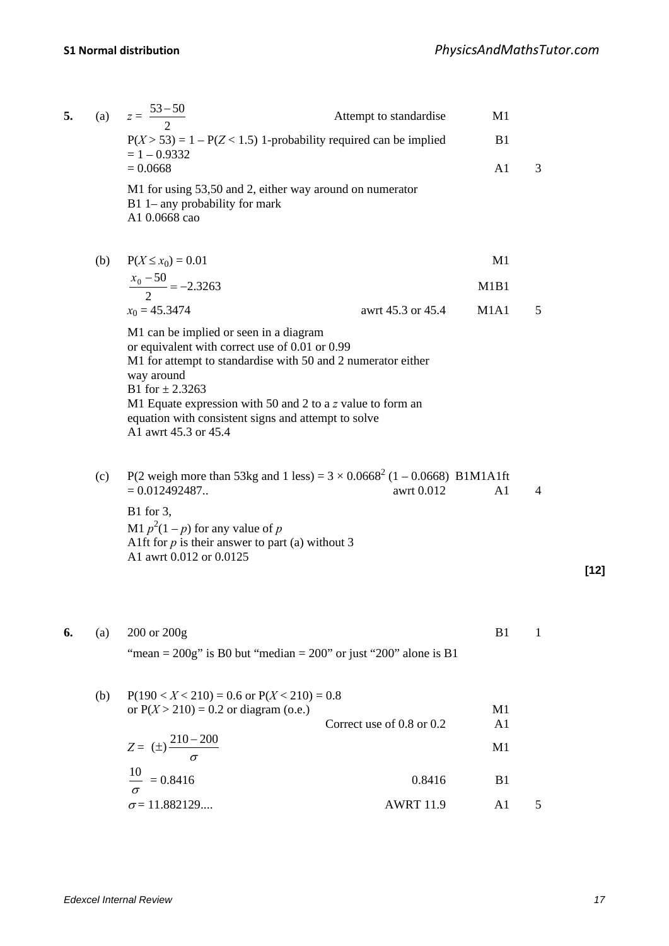| 5. |     | (a) $z = \frac{53-50}{2}$            | Attempt to standardise                                                                       | M1                            |   |        |
|----|-----|--------------------------------------|----------------------------------------------------------------------------------------------|-------------------------------|---|--------|
|    |     |                                      | $P(X > 53) = 1 - P(Z < 1.5)$ 1-probability required can be implied                           | B1                            |   |        |
|    |     | $= 1 - 0.9332$<br>$= 0.0668$         |                                                                                              | A <sub>1</sub>                | 3 |        |
|    |     | A1 0.0668 cao                        | M1 for using 53,50 and 2, either way around on numerator<br>$B1$ 1– any probability for mark |                               |   |        |
|    | (b) | $P(X \le x_0) = 0.01$                |                                                                                              | M1                            |   |        |
|    |     | $\frac{x_0 - 50}{2} = -2.3263$       |                                                                                              | M <sub>1</sub> B <sub>1</sub> |   |        |
|    |     | $x_0 = 45.3474$                      | awrt 45.3 or 45.4                                                                            | M1A1                          | 5 |        |
|    |     |                                      | M1 can be implied or seen in a diagram                                                       |                               |   |        |
|    |     |                                      | or equivalent with correct use of 0.01 or 0.99                                               |                               |   |        |
|    |     | way around                           | M1 for attempt to standardise with 50 and 2 numerator either                                 |                               |   |        |
|    |     | B1 for $\pm 2.3263$                  | M1 Equate expression with 50 and 2 to a $z$ value to form an                                 |                               |   |        |
|    |     | A1 awrt 45.3 or 45.4                 | equation with consistent signs and attempt to solve                                          |                               |   |        |
|    | (c) |                                      | P(2 weigh more than 53kg and 1 less) = $3 \times 0.0668^2$ (1 – 0.0668) B1M1A1ft             |                               |   |        |
|    |     | $= 0.012492487.$                     | awrt 0.012                                                                                   | A <sub>1</sub>                | 4 |        |
|    |     | B1 for 3,                            | M1 $p^2(1-p)$ for any value of p                                                             |                               |   |        |
|    |     |                                      | Alft for $p$ is their answer to part (a) without 3                                           |                               |   |        |
|    |     | A1 awrt 0.012 or 0.0125              |                                                                                              |                               |   | $[12]$ |
|    |     |                                      |                                                                                              |                               |   |        |
| 6. | (a) | 200 or 200g                          |                                                                                              | B1                            | 1 |        |
|    |     |                                      | "mean = $200g$ " is B0 but "median = $200$ " or just " $200$ " alone is B1                   |                               |   |        |
|    | (b) |                                      | $P(190 < X < 210) = 0.6$ or $P(X < 210) = 0.8$                                               |                               |   |        |
|    |     |                                      | or $P(X > 210) = 0.2$ or diagram (o.e.)<br>Correct use of 0.8 or 0.2                         | M1<br>A <sub>1</sub>          |   |        |
|    |     | $Z = (\pm) \frac{210 - 200}{\sigma}$ |                                                                                              | M <sub>1</sub>                |   |        |
|    |     | 10                                   |                                                                                              |                               |   |        |
|    |     | $\frac{10}{6}$ = 0.8416              | 0.8416                                                                                       | B <sub>1</sub>                |   |        |
|    |     | $\sigma$ = 11.882129                 | <b>AWRT 11.9</b>                                                                             | A <sub>1</sub>                | 5 |        |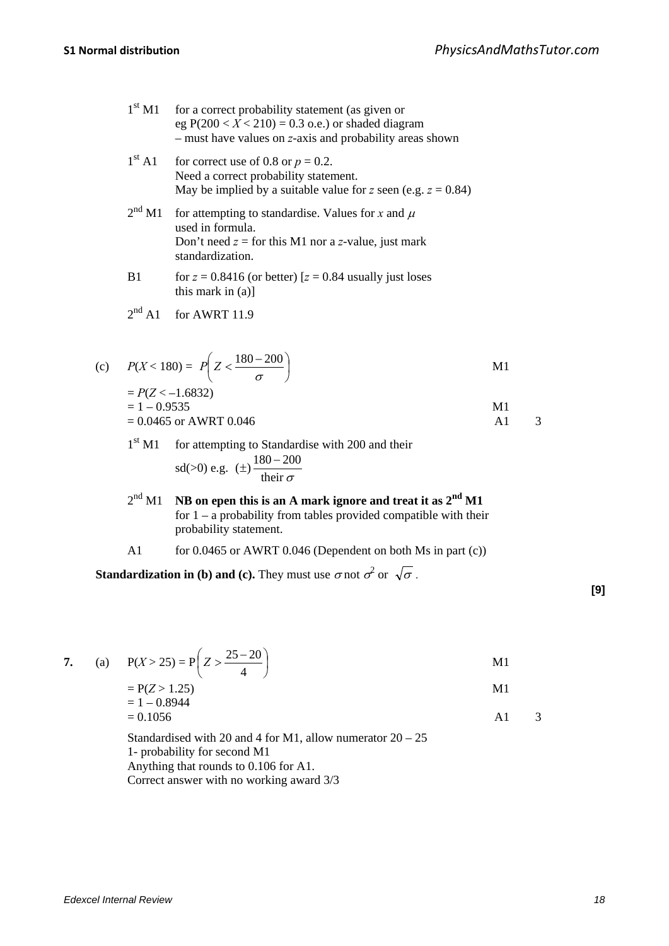- $1<sup>st</sup> M1$  for a correct probability statement (as given or eg  $P(200 < X < 210) = 0.3$  o.e.) or shaded diagram – must have values on *z*-axis and probability areas shown  $1<sup>st</sup>$  A1 for correct use of 0.8 or  $p = 0.2$ . Need a correct probability statement. May be implied by a suitable value for *z* seen (e.g.  $z = 0.84$ )  $2<sup>nd</sup>$  M1 for attempting to standardise. Values for *x* and  $\mu$ used in formula. Don't need  $z =$  for this M1 nor a *z*-value, just mark standardization. B1 for  $z = 0.8416$  (or better)  $z = 0.84$  usually just loses this mark in (a)]  $2<sup>nd</sup>$  A1 for AWRT 11.9 (c)  $P(X < 180) = P\left| Z \leq \frac{100 - 200}{P\left| Z \right|} \right|$ J  $\left( z < \frac{180 - 200}{ } \right)$ J  $P\left(Z < \frac{180 - 200}{\sigma}\right)$  M1  $= P(Z < -1.6832)$  $= 1 - 0.9535$  M1  $= 0.0465$  or AWRT 0.046 A1 3
	- 1<sup>st</sup> M1 for attempting to Standardise with 200 and their sd(>0) e.g.  $(\pm) \frac{180 - 200}{\text{their } \sigma}$
	- 2nd M1 **NB on epen this is an A mark ignore and treat it as 2nd M1** for  $1 - a$  probability from tables provided compatible with their probability statement.
	- A1 for 0.0465 or AWRT 0.046 (Dependent on both Ms in part (c))

**Standardization in (b) and (c).** They must use  $\sigma$  not  $\sigma^2$  or  $\sqrt{\sigma}$ .

7. (a) 
$$
P(X > 25) = P\left(Z > \frac{25 - 20}{4}\right)
$$
  
\t\t\t $= P(Z > 1.25)$   
\t\t\t $= 1 - 0.8944$   
\t\t\t $= 0.1056$  A1 3

Standardised with 20 and 4 for M1, allow numerator 20 – 25 1- probability for second M1 Anything that rounds to 0.106 for A1. Correct answer with no working award 3/3

**[9]**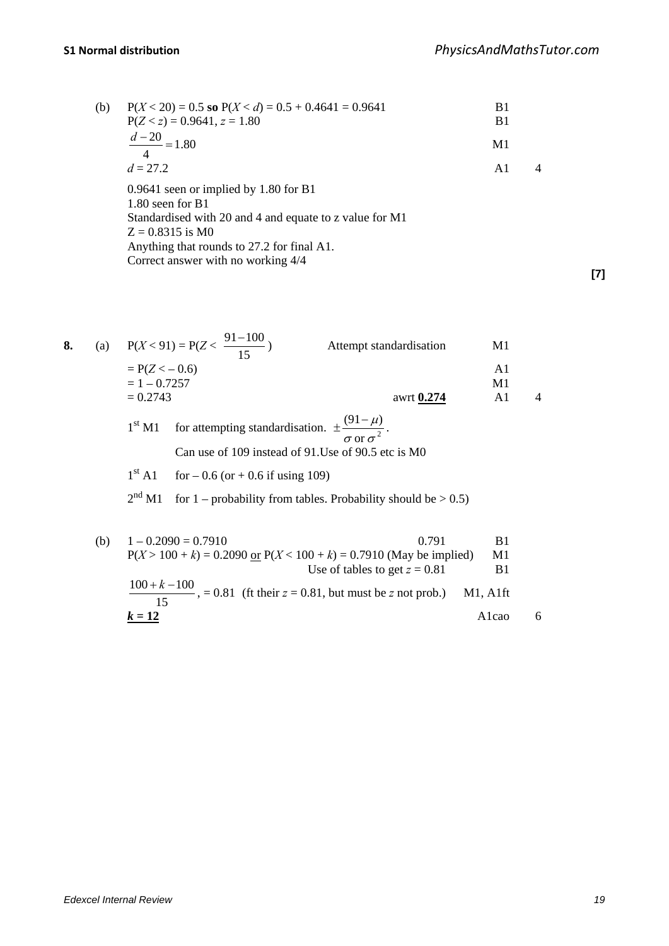| (b) | $P(X < 20) = 0.5$ so $P(X < d) = 0.5 + 0.4641 = 0.9641$<br>$P(Z < z) = 0.9641, z = 1.80$                                                                                                                                           | B1<br>B <sub>1</sub> |   |
|-----|------------------------------------------------------------------------------------------------------------------------------------------------------------------------------------------------------------------------------------|----------------------|---|
|     | $\frac{d-20}{2}$ = 1.80<br>$\overline{4}$                                                                                                                                                                                          | M1                   |   |
|     | $d = 27.2$                                                                                                                                                                                                                         | $\mathsf{A}1$        | 4 |
|     | $0.9641$ seen or implied by 1.80 for B1<br>$1.80$ seen for B1<br>Standardised with 20 and 4 and equate to z value for M1<br>$Z = 0.8315$ is M0<br>Anything that rounds to 27.2 for final A1.<br>Correct answer with no working 4/4 |                      |   |

**[7]**

| 8. |                                   | (a) $P(X < 91) = P(Z < \frac{91-100}{15})$                                           | Attempt standardisation                             | M1       |  |
|----|-----------------------------------|--------------------------------------------------------------------------------------|-----------------------------------------------------|----------|--|
|    | $= P(Z < -0.6)$<br>$= 1 - 0.7257$ |                                                                                      |                                                     | A1<br>M1 |  |
|    | $= 0.2743$                        |                                                                                      | awrt 0.274                                          | A1       |  |
|    | 1 <sup>st</sup> M1                | for attempting standardisation. $\pm \frac{(91-\mu)}{\sigma \text{ or } \sigma^2}$ . | Can use of 109 instead of 91. Use of 90.5 etc is M0 |          |  |
|    |                                   | $1st$ A1 for $-0.6$ (or $+0.6$ if using 109)                                         |                                                     |          |  |

 $2<sup>nd</sup> M1$  for 1 – probability from tables. Probability should be  $> 0.5$ )

| (b) | $1 - 0.2090 = 0.7910$                                                                                   | 0.791 | B1      |  |
|-----|---------------------------------------------------------------------------------------------------------|-------|---------|--|
|     | $P(X > 100 + k) = 0.2090$ or $P(X < 100 + k) = 0.7910$ (May be implied)                                 |       | M1      |  |
|     | Use of tables to get $z = 0.81$                                                                         |       |         |  |
|     | $100 + k - 100$<br>$\frac{1}{100}$ , = 0.81 (ft their z = 0.81, but must be z not prob.) M1, A1ft<br>15 |       |         |  |
|     | $k=12$                                                                                                  |       | A l cao |  |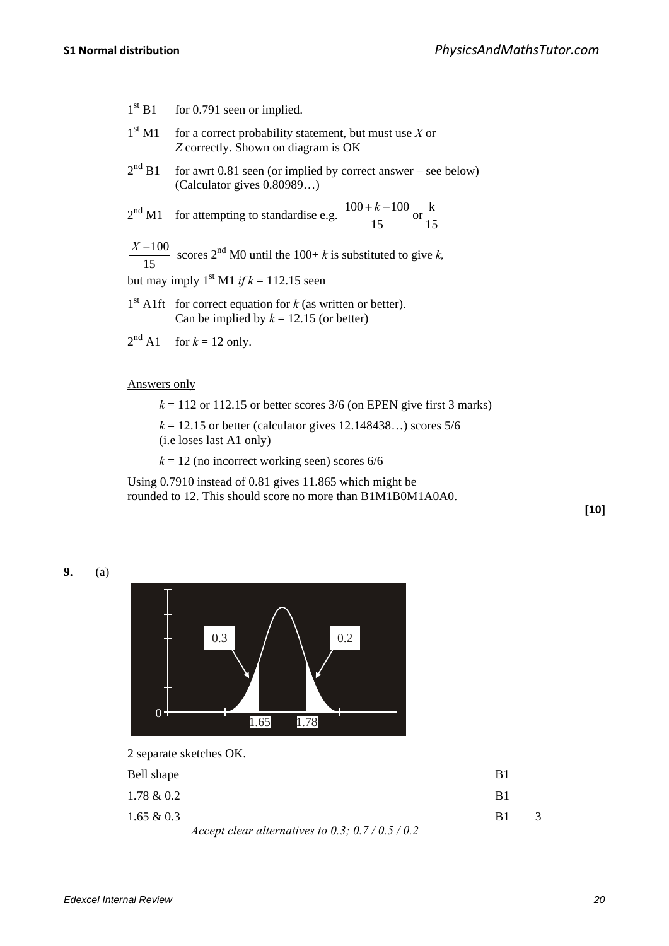- $1<sup>st</sup> B1$  for 0.791 seen or implied.
- $1<sup>st</sup> M1$  for a correct probability statement, but must use *X* or *Z* correctly. Shown on diagram is OK
- $2<sup>nd</sup> B1$  for awrt 0.81 seen (or implied by correct answer see below) (Calculator gives 0.80989…)

$$
2nd M1
$$
 for attempting to standardise e.g.  $\frac{100 + k - 100}{15}$  or  $\frac{k}{15}$ 

15  $\frac{X-100}{X-15}$  scores 2<sup>nd</sup> M0 until the 100+ *k* is substituted to give *k*,

but may imply  $1^{st}$  M1 *if k* = 112.15 seen

- 1<sup>st</sup> A1ft for correct equation for *k* (as written or better). Can be implied by  $k = 12.15$  (or better)
- $2<sup>nd</sup>$  A1 for  $k = 12$  only.

#### Answers only

 $k = 112$  or 112.15 or better scores  $3/6$  (on EPEN give first 3 marks)

 $k = 12.15$  or better (calculator gives 12.148438...) scores 5/6 (i.e loses last A1 only)

 $k = 12$  (no incorrect working seen) scores  $6/6$ 

Using 0.7910 instead of 0.81 gives 11.865 which might be rounded to 12. This should score no more than B1M1B0M1A0A0.

**[10]**

**9.** (a)



2 separate sketches OK.

| Bell shape    |                                                 | B1         |   |
|---------------|-------------------------------------------------|------------|---|
| $1.78 \& 0.2$ |                                                 | B1         |   |
| $1.65 \& 0.3$ |                                                 | <b>B</b> 1 | 3 |
|               | Accept clear alternatives to 0.3; $0.7/0.5/0.2$ |            |   |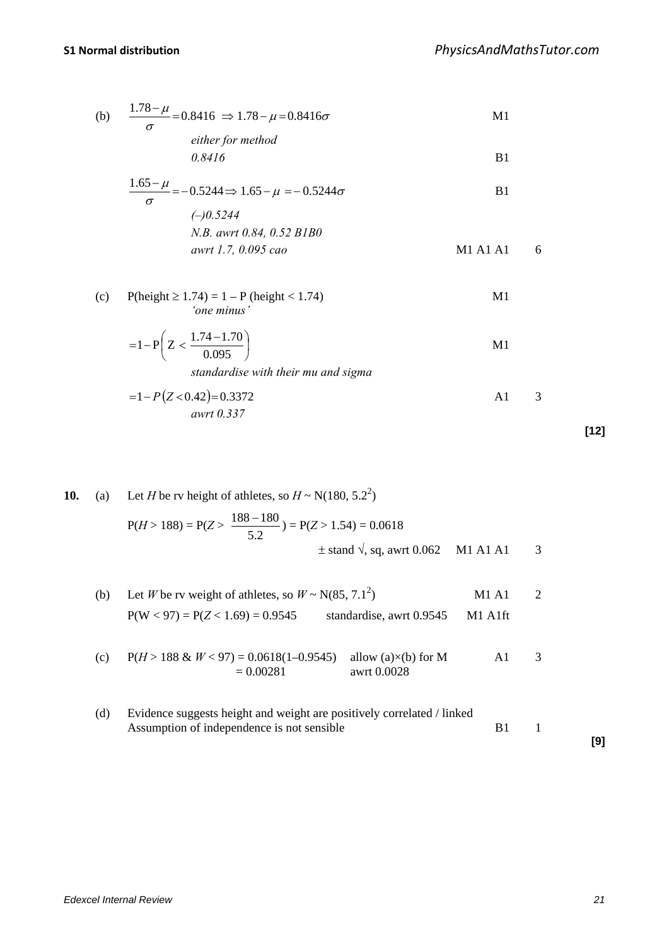(b) 
$$
\frac{1.78 - \mu}{\sigma} = 0.8416 \implies 1.78 - \mu = 0.8416\sigma
$$
   
either for method

$$
\it 0.8416
$$

*0.8416* B1

$$
\frac{1.65 - \mu}{\sigma} = -0.5244 \Rightarrow 1.65 - \mu = -0.5244 \sigma
$$
 B1  
\n(-)0.5244  
\n*N.B. awrt 0.84, 0.52 BIB0*  
\n*awrt 1.7, 0.095 cao* M1 A1 A1 6

(c) P(height  $\ge 1.74$ ) = 1 – P (height < 1.74) M1 *'one minus'*

$$
=1-P\left(Z < \frac{1.74-1.70}{0.095}\right) \tag{M1}
$$

*standardise with their mu and sigma*

$$
=1-P(Z<0.42)=0.3372
$$
   
 *awrt* 0.337   

**[12]**

\n- 10. (a) Let *H* be rv height of athletes, so 
$$
H \sim N(180, 5.2^2)
$$
\n $P(H > 188) = P(Z > \frac{188 - 180}{5.2}) = P(Z > 1.54) = 0.0618$ \n $\pm$  stand  $\sqrt{}$ , sq, awrt 0.062  $M1 A1 A1$ \n
\n- (b) Let *W* be rv weight of athletes, so  $W \sim N(85, 7.1^2)$   $M1 A1$ \n $P(W < 97) = P(Z < 1.69) = 0.9545$  standardise, awrt 0.9545  $M1 A1$   $1$ \n
\n- (c)  $P(H > 188 & W < 97) = 0.0618(1 - 0.9545)$  allow (a)×(b) for  $M$   $= 0.00281$   $awrt 0.0028$ \n
\n- (d) Evidence suggests height and weight are positively correlated / linked Assumption of independence is not sensible  $B1$ \n
\n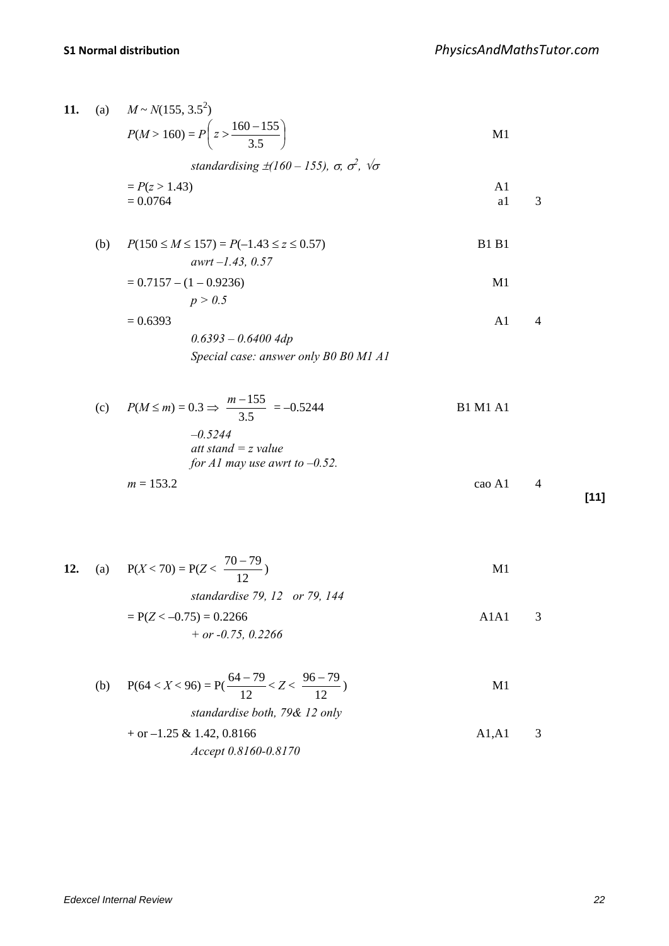11. (a) 
$$
M \sim N(155, 3.5^2)
$$
  
\n $P(M > 160) = P\left(z > \frac{160 - 155}{3.5}\right)$    
\n $sinAar{dardising \pm t}160 - 155$ ,  $\sigma$ ,  $\sigma^2$ ,  $\sqrt{\sigma}$   
\n $= P(z > 1.43)$    
\n $= 0.0764$    
\n(b)  $P(150 \le M \le 157) = P(-1.43 \le z \le 0.57)$    
\n $= 0.7157 - (1 - 0.9236)$    
\n $p > 0.5$   
\n $= 0.6393$    
\n $0.6393 - 0.64004dp$    
\n $5.924$    
\n $= 0.6393$    
\n $= 0.339$    
\n $= 0.5244$    
\n $= 0.6324$    
\n $= 0.6324$    
\n $= 0.6324$    
\n $= 0.6324$    
\n $= 0.634$    
\n $= 0.634$    
\n $= 0.634$    
\n $= 0.634$    
\n $= 0.634$    
\n $= 0.634$    
\n $= 0.634$    
\n $= 0.634$    
\n $= 0.634$    
\n $= 0.634$    
\n $= 0.634$    
\n $= 0.634$    
\n $= 0.634$    
\n $= 0.634$    
\n $= 0.634$    
\n $= 0.634$    
\n $= 0.634$    
\n $= 0.634$    
\n $= 0.634$    
\n $= 0.634$    
\n $= 0.634$    
\n $= 0.634$ 

$$
+ \text{ or } -1.25 \& 1.42, 0.8166
$$
  
Accept 0.8160-0.8170  
A1, A1 3

*Edexcel Internal Review 22*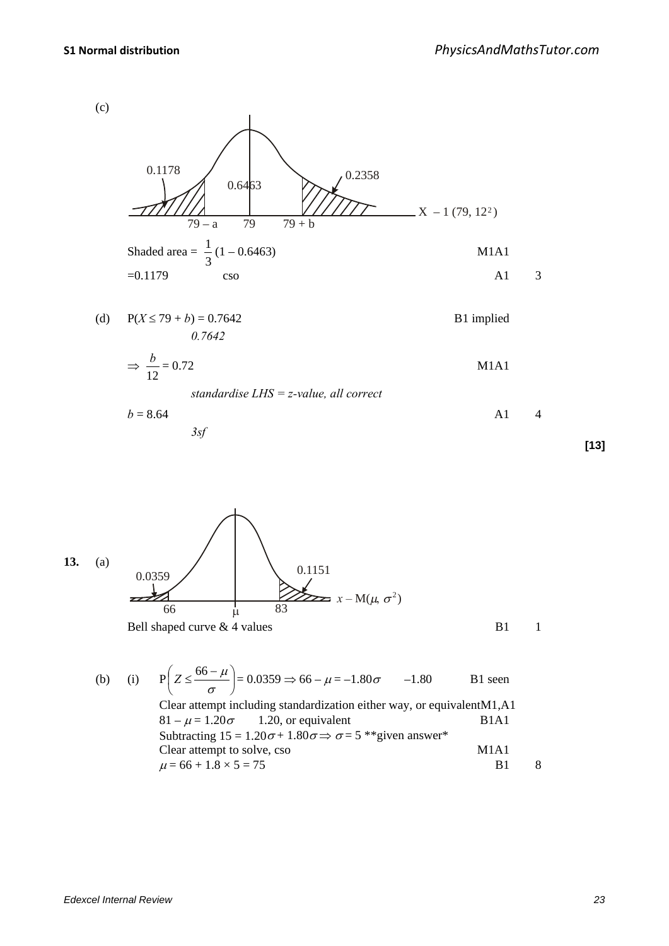

(d)  $P(X \le 79 + b) = 0.7642$  B1 implied *0.7642*

$$
\Rightarrow \frac{b}{12} = 0.72
$$
 M1A1  
standardise LHS = z-value, all correct

$$
b = 8.64 \qquad \qquad \text{A1} \qquad 4
$$

*3sf*

**[13]**



(b) (i) 
$$
P\left(Z \leq \frac{66 - \mu}{\sigma}\right) = 0.0359 \Rightarrow 66 - \mu = -1.80\sigma
$$
 -1.80 B1 seen  
\nClear attempt including standardization either way, or equivalent  
\n $81 - \mu = 1.20\sigma$  1.20, or equivalent B1A1  
\nSubtracting  $15 = 1.20\sigma + 1.80\sigma \Rightarrow \sigma = 5$  \*\*given answer\*  
\nClear attempt to solve, cso M1A1  
\n $\mu = 66 + 1.8 \times 5 = 75$  B1 8

$$
\frac{1}{21}
$$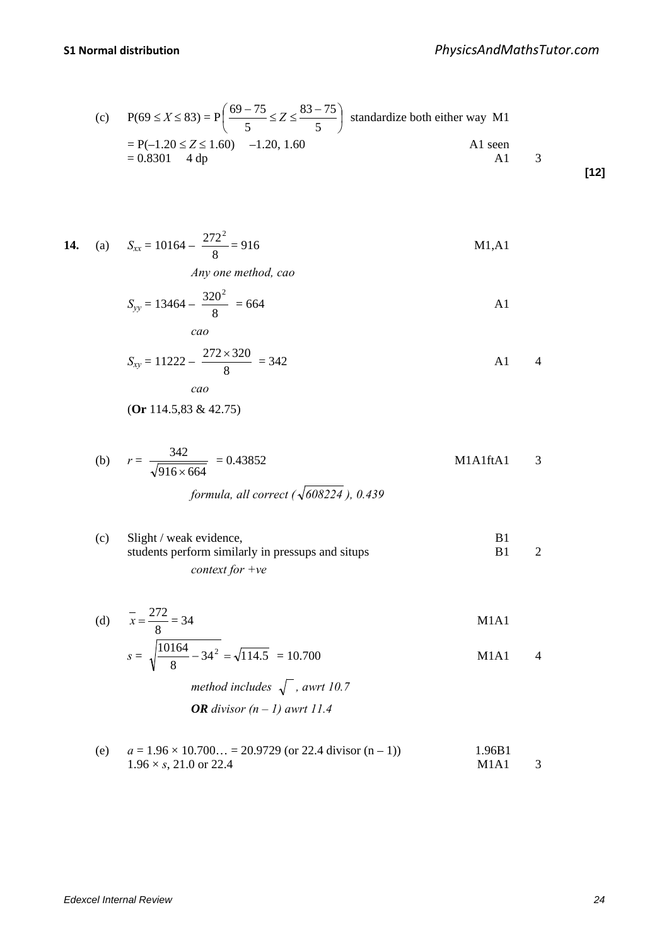(c) 
$$
P(69 \le X \le 83) = P\left(\frac{69 - 75}{5} \le Z \le \frac{83 - 75}{5}\right)
$$
 standardize both either way M1  
=  $P(-1.20 \le Z \le 1.60)$  -1.20, 1.60  
= 0.8301 4 dp  
[12]

**14.** (a) 
$$
S_{xx} = 10164 - \frac{272^2}{8} = 916
$$
 M1,A1

*Any one method, cao*

$$
S_{yy} = 13464 - \frac{320^2}{8} = 664
$$

$$
S_{xy} = 11222 - \frac{272 \times 320}{8} = 342
$$
   
 *cao*

(**Or** 114.5,83 & 42.75)

(b) 
$$
r = \frac{342}{\sqrt{916 \times 664}} = 0.43852
$$
 M1A1ftA1 3

formula, all correct (
$$
\sqrt{608224}
$$
), 0.439

(c) Slight / weak evidence, B1<br>students perform similarly in pressups and situps B1 students perform similarly in pressups and situps B1 2 *context for +ve*

(d) 
$$
\bar{x} = \frac{272}{8} = 34
$$
  
\n $s = \sqrt{\frac{10164}{8} - 34^2} = \sqrt{114.5} = 10.700$   
\nM1A1  
\nM1A1  
\n4

method includes 
$$
\sqrt{\ }
$$
, awrt 10.7  
OR divisor  $(n-1)$  awrt 11.4

(e) 
$$
a = 1.96 \times 10.700... = 20.9729
$$
 (or 22.4 divisor (n – 1))  
  $1.96B1$  1.96 × s, 21.0 or 22.4  
M1A1 3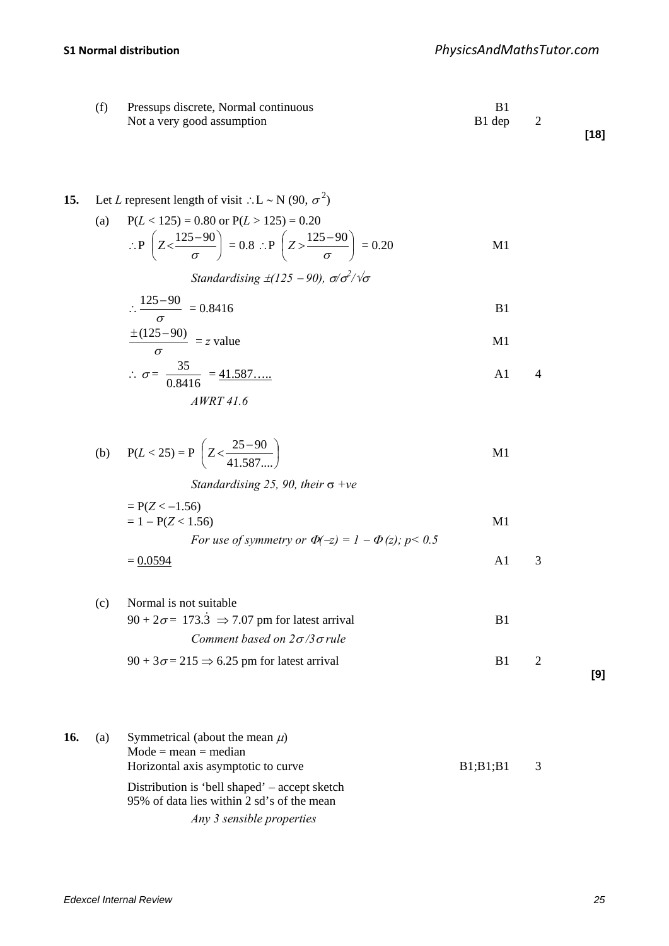| (f) | Pressups discrete, Normal continuous |        |      |
|-----|--------------------------------------|--------|------|
|     | Not a very good assumption           | B1 dep |      |
|     |                                      |        | [18] |

# **15.** Let *L* represent length of visit ∴L ~ N (90,  $\sigma^2$ )

(a) 
$$
P(L < 125) = 0.80
$$
 or  $P(L > 125) = 0.20$   
\n
$$
\therefore P\left(Z < \frac{125 - 90}{\sigma}\right) = 0.8 \therefore P\left(Z > \frac{125 - 90}{\sigma}\right) = 0.20
$$
 M1

*Standardising* ±(125 − 90), σ/σ<sup>2</sup>/√σ

$$
\therefore \frac{125 - 90}{\sigma} = 0.8416
$$

$$
\frac{\pm (125-90)}{\sigma} = z \text{ value}
$$

$$
\therefore \sigma = \frac{35}{0.8416} = \frac{41.587...}{4WRT 41.6}
$$

(b) 
$$
P(L < 25) = P\left(Z < \frac{25 - 90}{41.587...}\right)
$$
 M1

*Standardising 25, 90, their* σ *+ve*

$$
= P(Z < -1.56)
$$
\n
$$
= 1 - P(Z < 1.56)
$$
\nFor use of symmetry or  $\Phi(-z) = 1 - \Phi(z)$ ;  $p < 0.5$ 

$$
= \underline{0.0594} \qquad \qquad \text{A1} \qquad 3
$$

(c) Normal is not suitable  
\n
$$
90 + 2\sigma = 173.3 \implies 7.07 \text{ pm}
$$
 for latest arrival  
\n*Comment based on*  $2\sigma/3\sigma$  *rule*  
\n $90 + 3\sigma = 215 \implies 6.25 \text{ pm}$  for latest arrival  
\nB1 2

**[9]**

\n- **16.** (a) Symmetrical (about the mean 
$$
\mu
$$
) Mode = mean = median. Horizontal axis asymptotic to curve.  $B1;B1;B1$  3. Distribution is 'bell shaped' – accept sketch 95% of data lies within 2 sd's of the mean. *Any 3 sensible properties*
\n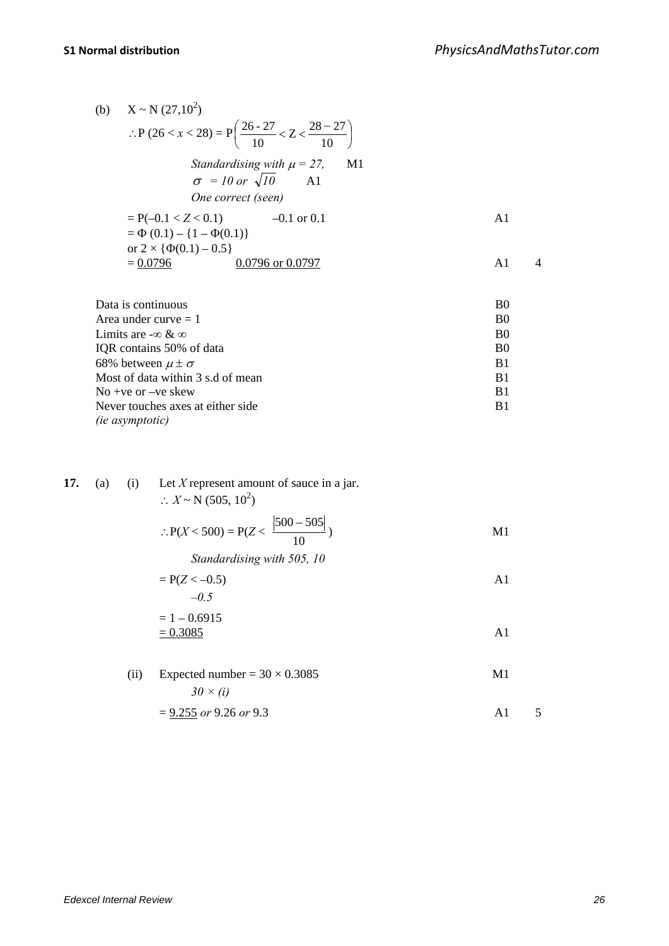(b) 
$$
X \sim N (27,10^2)
$$
  
\n
$$
\therefore P (26 < x < 28) = P\left(\frac{26 - 27}{10} < Z < \frac{28 - 27}{10}\right)
$$
\nStandardising with  $\mu = 27$ , M1  
\n $\sigma = 10 \text{ or } \sqrt{10}$  A1  
\n*One correct (seen)*  
\n
$$
= P(-0.1 < Z < 0.1) \qquad -0.1 \text{ or } 0.1
$$
  
\n
$$
= \Phi (0.1) - \{1 - \Phi(0.1)\}
$$
  
\nor  $2 \times {\Phi(0.1) - 0.5}$   
\n
$$
= \frac{0.0796}{0.0796 \text{ or } 0.0797} \qquad A1 \qquad 4
$$

| Data is continuous                 | B <sub>0</sub> |
|------------------------------------|----------------|
| Area under curve $= 1$             | <sub>B0</sub>  |
| Limits are $-\infty \& \infty$     | B <sub>0</sub> |
| IQR contains 50% of data           | B <sub>0</sub> |
| 68% between $\mu \pm \sigma$       | B1             |
| Most of data within 3 s.d of mean  | B1             |
| No +ve or $-ve$ skew               | B1             |
| Never touches axes at either side. | B1             |
| <i>(ie asymptotic)</i>             |                |

| 17. | (a) |      | (i) Let X represent amount of sauce in a jar.<br>$\therefore X \sim N (505, 10^2)$ |                |
|-----|-----|------|------------------------------------------------------------------------------------|----------------|
|     |     |      | $\therefore P(X < 500) = P(Z < \frac{ 500 - 505 }{10})$                            | M1             |
|     |     |      | Standardising with 505, 10                                                         |                |
|     |     |      | $= P(Z < -0.5)$                                                                    | A1             |
|     |     |      | $-0.5$                                                                             |                |
|     |     |      | $= 1 - 0.6915$                                                                     |                |
|     |     |      | $= 0.3085$                                                                         | A <sub>1</sub> |
|     |     |      |                                                                                    |                |
|     |     | (ii) | Expected number = $30 \times 0.3085$                                               | M1             |
|     |     |      | $30 \times (i)$                                                                    |                |

$$
= 9.255 \text{ or } 9.26 \text{ or } 9.3 \tag{A1}
$$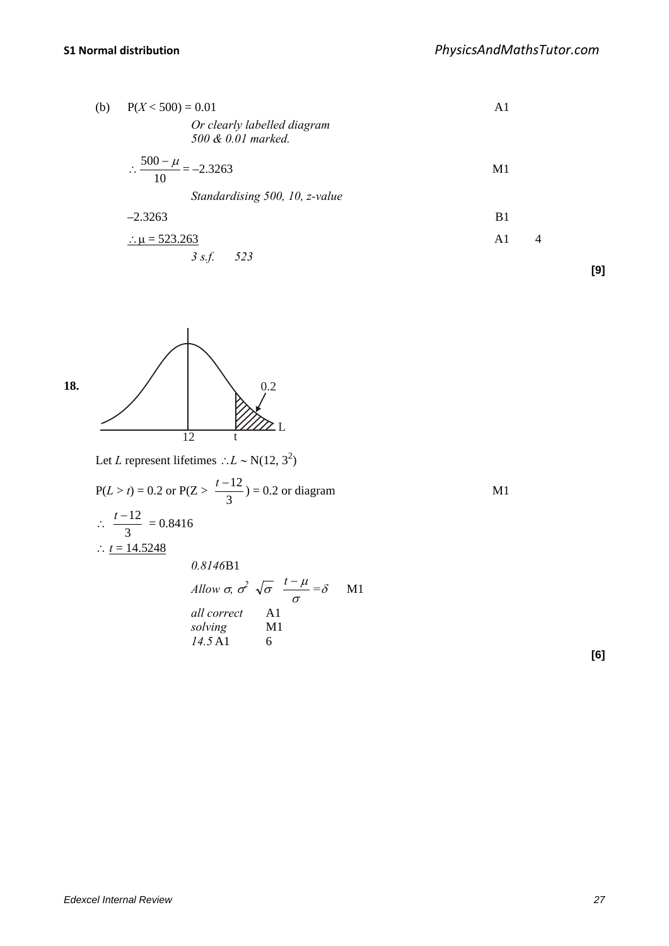| (b) | $P(X < 500) = 0.01$                               | A1                   |     |
|-----|---------------------------------------------------|----------------------|-----|
|     | Or clearly labelled diagram<br>500 & 0.01 marked. |                      |     |
|     | $\therefore \frac{500 - \mu}{10} = -2.3263$       | M1                   |     |
|     | Standardising 500, 10, z-value                    |                      |     |
|     | $-2.3263$                                         | B <sub>1</sub>       |     |
|     | :: $\mu = 523.263$                                | $\overline{4}$<br>A1 |     |
|     | 3 s.f. 523                                        |                      | [9] |



Let *L* represent lifetimes ∴*L* ~ N(12, 3<sup>2</sup>)

P(L > t) = 0.2 or P(Z > 
$$
\frac{t-12}{3}
$$
) = 0.2 or diagram  
\n∴  $\frac{t-12}{3}$  = 0.8416  
\n∴  $\frac{t = 14.5248}{0.8146B1}$ 

*Allow* 
$$
\sigma
$$
,  $\sigma^2$   $\sqrt{\sigma}$   $\frac{t-\mu}{\sigma} = \delta$  M1  
all correct Al  
solving M1  
14.5 A1 6

**[6]**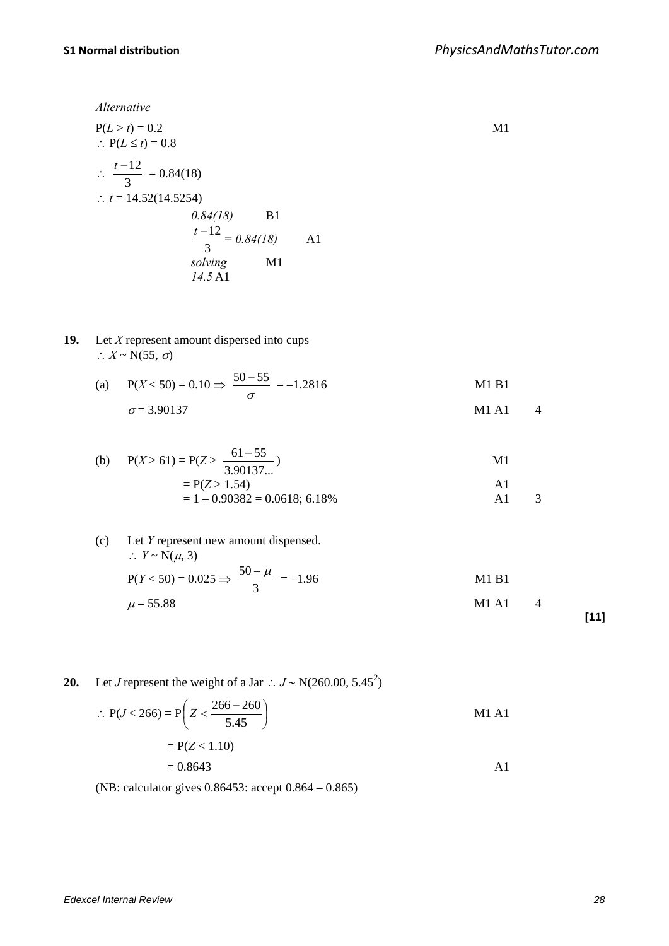*Alternative*

P(L > t) = 0.2  
\n∴ P(L ≤ t) = 0.8  
\n∴ 
$$
\frac{t-12}{3}
$$
 = 0.84(18)  
\n∴  $\frac{t = 14.52(14.5254)}{0.84(18)}$  B1  
\n $\frac{t-12}{3}$  = 0.84(18) A1  
\nsolving M1  
\n14.5 A1

**19.** Let *X* represent amount dispersed into cups  $\therefore X \sim N(55, \sigma)$ 

(a) 
$$
P(X < 50) = 0.10 \Rightarrow \frac{50 - 55}{\sigma} = -1.2816
$$
 M1 B1  
\n $\sigma = 3.90137$  M1 A1 4

(b) 
$$
P(X > 61) = P(Z > \frac{61 - 55}{3.90137...})
$$
 M1  
=  $P(Z > 1.54)$  A1  
= 1 - 0.90382 = 0.0618; 6.18% A1 3

(c) Let *Y* represent new amount dispensed.  
\n
$$
\therefore Y \sim N(\mu, 3)
$$
\n
$$
P(Y < 50) = 0.025 \Rightarrow \frac{50 - \mu}{3} = -1.96
$$
\n
$$
\mu = 55.88
$$
\nM1 A1 4 [11]

**20.** Let *J* represent the weight of a Jar : 
$$
J \sim N(260.00, 5.45^2)
$$

$$
\therefore P(J < 266) = P\left(Z < \frac{266 - 260}{5.45}\right) \\
= P(Z < 1.10) \\
= 0.8643\n\tag{A1}
$$

(NB: calculator gives 0.86453: accept 0.864 – 0.865)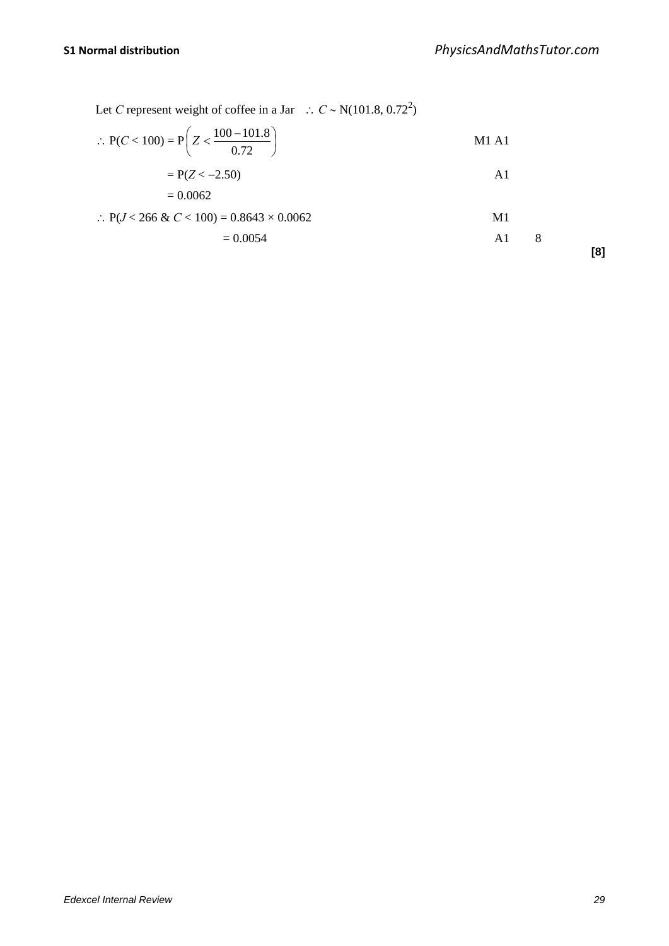Let *C* represent weight of coffee in a Jar ∴  $C \sim N(101.8, 0.72^2)$ 

$$
\therefore P(C < 100) = P\left(Z < \frac{100 - 101.8}{0.72}\right) \tag{M1 A1}
$$

$$
=P(Z<-2.50)
$$

$$
= 0.0062
$$

$$
\therefore P(J < 266 \& C < 100) = 0.8643 \times 0.0062 \qquad \qquad \text{M1}
$$

$$
A1 \t 8 \t [8]
$$

*Edexcel Internal Review 29*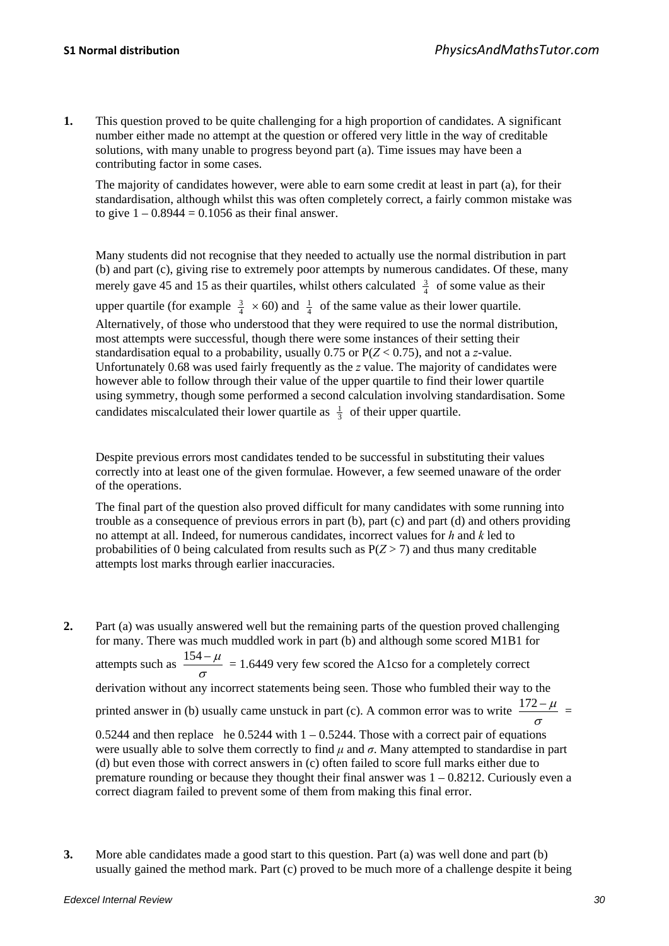**1.** This question proved to be quite challenging for a high proportion of candidates. A significant number either made no attempt at the question or offered very little in the way of creditable solutions, with many unable to progress beyond part (a). Time issues may have been a contributing factor in some cases.

The majority of candidates however, were able to earn some credit at least in part (a), for their standardisation, although whilst this was often completely correct, a fairly common mistake was to give  $1 - 0.8944 = 0.1056$  as their final answer.

Many students did not recognise that they needed to actually use the normal distribution in part (b) and part (c), giving rise to extremely poor attempts by numerous candidates. Of these, many merely gave 45 and 15 as their quartiles, whilst others calculated  $\frac{3}{4}$  of some value as their upper quartile (for example  $\frac{3}{4} \times 60$ ) and  $\frac{1}{4}$  of the same value as their lower quartile.

Alternatively, of those who understood that they were required to use the normal distribution, most attempts were successful, though there were some instances of their setting their standardisation equal to a probability, usually 0.75 or P(*Z* < 0.75), and not a *z*-value. Unfortunately 0.68 was used fairly frequently as the *z* value. The majority of candidates were however able to follow through their value of the upper quartile to find their lower quartile using symmetry, though some performed a second calculation involving standardisation. Some candidates miscalculated their lower quartile as  $\frac{1}{3}$  of their upper quartile.

Despite previous errors most candidates tended to be successful in substituting their values correctly into at least one of the given formulae. However, a few seemed unaware of the order of the operations.

The final part of the question also proved difficult for many candidates with some running into trouble as a consequence of previous errors in part (b), part (c) and part (d) and others providing no attempt at all. Indeed, for numerous candidates, incorrect values for *h* and *k* led to probabilities of 0 being calculated from results such as  $P(Z>7)$  and thus many creditable attempts lost marks through earlier inaccuracies.

- **2.** Part (a) was usually answered well but the remaining parts of the question proved challenging for many. There was much muddled work in part (b) and although some scored M1B1 for attempts such as  $\frac{154 - \mu}{\sigma}$  = 1.6449 very few scored the A1cso for a completely correct derivation without any incorrect statements being seen. Those who fumbled their way to the printed answer in (b) usually came unstuck in part (c). A common error was to write  $\frac{172 - \mu}{\sigma}$ 0.5244 and then replace he 0.5244 with  $1 - 0.5244$ . Those with a correct pair of equations were usually able to solve them correctly to find  $\mu$  and  $\sigma$ . Many attempted to standardise in part (d) but even those with correct answers in (c) often failed to score full marks either due to premature rounding or because they thought their final answer was 1 – 0.8212. Curiously even a
	- correct diagram failed to prevent some of them from making this final error.
- **3.** More able candidates made a good start to this question. Part (a) was well done and part (b) usually gained the method mark. Part (c) proved to be much more of a challenge despite it being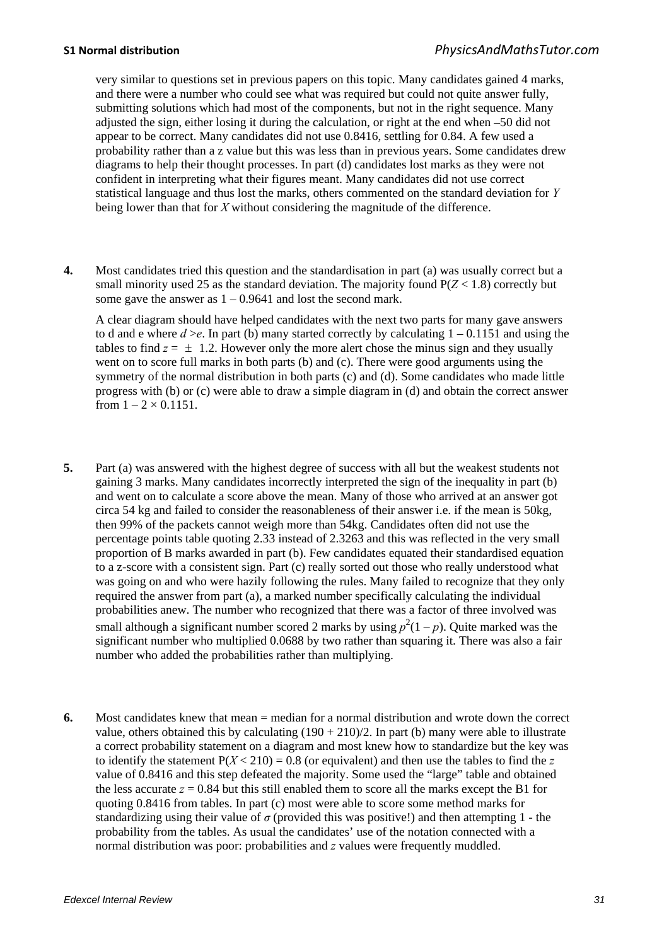very similar to questions set in previous papers on this topic. Many candidates gained 4 marks, and there were a number who could see what was required but could not quite answer fully, submitting solutions which had most of the components, but not in the right sequence. Many adjusted the sign, either losing it during the calculation, or right at the end when –50 did not appear to be correct. Many candidates did not use 0.8416, settling for 0.84. A few used a probability rather than a z value but this was less than in previous years. Some candidates drew diagrams to help their thought processes. In part (d) candidates lost marks as they were not confident in interpreting what their figures meant. Many candidates did not use correct statistical language and thus lost the marks, others commented on the standard deviation for *Y* being lower than that for *X* without considering the magnitude of the difference.

**4.** Most candidates tried this question and the standardisation in part (a) was usually correct but a small minority used 25 as the standard deviation. The majority found  $P(Z < 1.8)$  correctly but some gave the answer as  $1 - 0.9641$  and lost the second mark.

A clear diagram should have helped candidates with the next two parts for many gave answers to d and e where  $d > e$ . In part (b) many started correctly by calculating  $1 - 0.1151$  and using the tables to find  $z = \pm 1.2$ . However only the more alert chose the minus sign and they usually went on to score full marks in both parts (b) and (c). There were good arguments using the symmetry of the normal distribution in both parts (c) and (d). Some candidates who made little progress with (b) or (c) were able to draw a simple diagram in (d) and obtain the correct answer from  $1 - 2 \times 0.1151$ .

- **5.** Part (a) was answered with the highest degree of success with all but the weakest students not gaining 3 marks. Many candidates incorrectly interpreted the sign of the inequality in part (b) and went on to calculate a score above the mean. Many of those who arrived at an answer got circa 54 kg and failed to consider the reasonableness of their answer i.e. if the mean is 50kg, then 99% of the packets cannot weigh more than 54kg. Candidates often did not use the percentage points table quoting 2.33 instead of 2.3263 and this was reflected in the very small proportion of B marks awarded in part (b). Few candidates equated their standardised equation to a z-score with a consistent sign. Part (c) really sorted out those who really understood what was going on and who were hazily following the rules. Many failed to recognize that they only required the answer from part (a), a marked number specifically calculating the individual probabilities anew. The number who recognized that there was a factor of three involved was small although a significant number scored 2 marks by using  $p^2(1-p)$ . Quite marked was the significant number who multiplied 0.0688 by two rather than squaring it. There was also a fair number who added the probabilities rather than multiplying.
- **6.** Most candidates knew that mean = median for a normal distribution and wrote down the correct value, others obtained this by calculating  $(190 + 210)/2$ . In part (b) many were able to illustrate a correct probability statement on a diagram and most knew how to standardize but the key was to identify the statement  $P(X < 210) = 0.8$  (or equivalent) and then use the tables to find the z value of 0.8416 and this step defeated the majority. Some used the "large" table and obtained the less accurate  $z = 0.84$  but this still enabled them to score all the marks except the B1 for quoting 0.8416 from tables. In part (c) most were able to score some method marks for standardizing using their value of  $\sigma$  (provided this was positive!) and then attempting 1 - the probability from the tables. As usual the candidates' use of the notation connected with a normal distribution was poor: probabilities and *z* values were frequently muddled.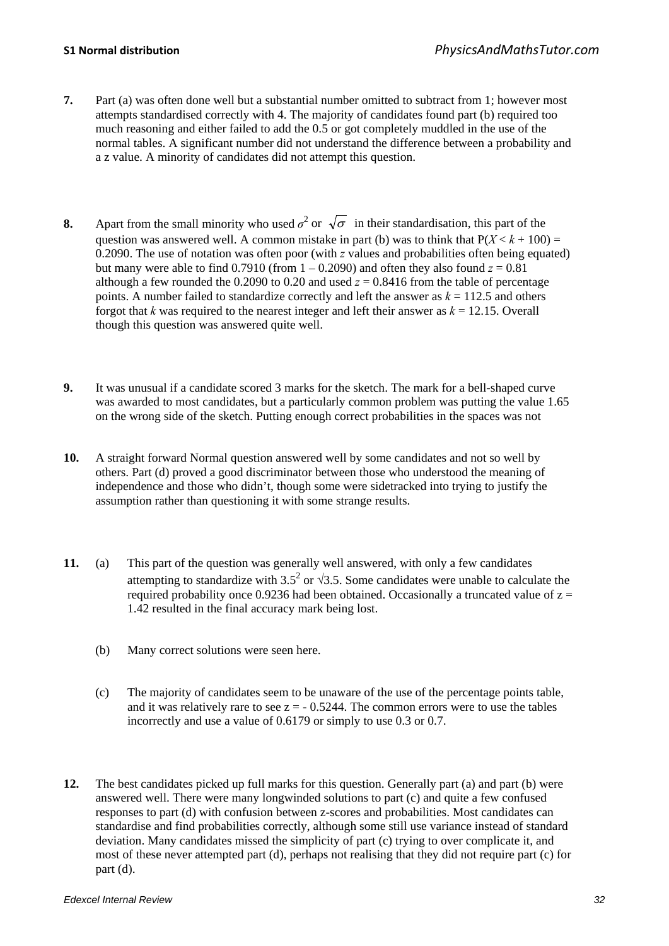- **7.** Part (a) was often done well but a substantial number omitted to subtract from 1; however most attempts standardised correctly with 4. The majority of candidates found part (b) required too much reasoning and either failed to add the 0.5 or got completely muddled in the use of the normal tables. A significant number did not understand the difference between a probability and a z value. A minority of candidates did not attempt this question.
- **8.** Apart from the small minority who used  $\sigma^2$  or  $\sqrt{\sigma}$  in their standardisation, this part of the question was answered well. A common mistake in part (b) was to think that  $P(X < k + 100) =$ 0.2090. The use of notation was often poor (with *z* values and probabilities often being equated) but many were able to find  $0.7910$  (from  $1 - 0.2090$ ) and often they also found  $z = 0.81$ although a few rounded the 0.2090 to 0.20 and used  $z = 0.8416$  from the table of percentage points. A number failed to standardize correctly and left the answer as  $k = 112.5$  and others forgot that  $k$  was required to the nearest integer and left their answer as  $k = 12.15$ . Overall though this question was answered quite well.
- **9.** It was unusual if a candidate scored 3 marks for the sketch. The mark for a bell-shaped curve was awarded to most candidates, but a particularly common problem was putting the value 1.65 on the wrong side of the sketch. Putting enough correct probabilities in the spaces was not
- **10.** A straight forward Normal question answered well by some candidates and not so well by others. Part (d) proved a good discriminator between those who understood the meaning of independence and those who didn't, though some were sidetracked into trying to justify the assumption rather than questioning it with some strange results.
- **11.** (a) This part of the question was generally well answered, with only a few candidates attempting to standardize with 3.5<sup>2</sup> or  $\sqrt{3.5}$ . Some candidates were unable to calculate the required probability once 0.9236 had been obtained. Occasionally a truncated value of  $z =$ 1.42 resulted in the final accuracy mark being lost.
	- (b) Many correct solutions were seen here.
	- (c) The majority of candidates seem to be unaware of the use of the percentage points table, and it was relatively rare to see  $z = -0.5244$ . The common errors were to use the tables incorrectly and use a value of 0.6179 or simply to use 0.3 or 0.7.
- **12.** The best candidates picked up full marks for this question. Generally part (a) and part (b) were answered well. There were many longwinded solutions to part (c) and quite a few confused responses to part (d) with confusion between z-scores and probabilities. Most candidates can standardise and find probabilities correctly, although some still use variance instead of standard deviation. Many candidates missed the simplicity of part (c) trying to over complicate it, and most of these never attempted part (d), perhaps not realising that they did not require part (c) for part (d).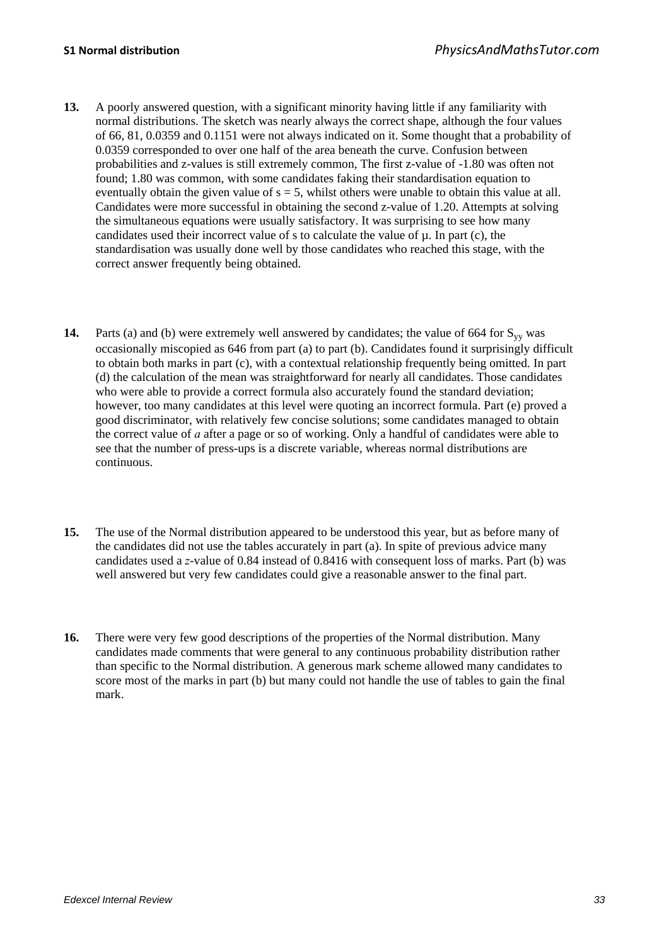- **13.** A poorly answered question, with a significant minority having little if any familiarity with normal distributions. The sketch was nearly always the correct shape, although the four values of 66, 81, 0.0359 and 0.1151 were not always indicated on it. Some thought that a probability of 0.0359 corresponded to over one half of the area beneath the curve. Confusion between probabilities and z-values is still extremely common, The first z-value of -1.80 was often not found; 1.80 was common, with some candidates faking their standardisation equation to eventually obtain the given value of  $s = 5$ , whilst others were unable to obtain this value at all. Candidates were more successful in obtaining the second z-value of 1.20. Attempts at solving the simultaneous equations were usually satisfactory. It was surprising to see how many candidates used their incorrect value of s to calculate the value of  $\mu$ . In part (c), the standardisation was usually done well by those candidates who reached this stage, with the correct answer frequently being obtained.
- **14.** Parts (a) and (b) were extremely well answered by candidates; the value of 664 for  $S_{yy}$  was occasionally miscopied as 646 from part (a) to part (b). Candidates found it surprisingly difficult to obtain both marks in part (c), with a contextual relationship frequently being omitted. In part (d) the calculation of the mean was straightforward for nearly all candidates. Those candidates who were able to provide a correct formula also accurately found the standard deviation; however, too many candidates at this level were quoting an incorrect formula. Part (e) proved a good discriminator, with relatively few concise solutions; some candidates managed to obtain the correct value of *a* after a page or so of working. Only a handful of candidates were able to see that the number of press-ups is a discrete variable, whereas normal distributions are continuous.
- **15.** The use of the Normal distribution appeared to be understood this year, but as before many of the candidates did not use the tables accurately in part (a). In spite of previous advice many candidates used a *z*-value of 0.84 instead of 0.8416 with consequent loss of marks. Part (b) was well answered but very few candidates could give a reasonable answer to the final part.
- **16.** There were very few good descriptions of the properties of the Normal distribution. Many candidates made comments that were general to any continuous probability distribution rather than specific to the Normal distribution. A generous mark scheme allowed many candidates to score most of the marks in part (b) but many could not handle the use of tables to gain the final mark.